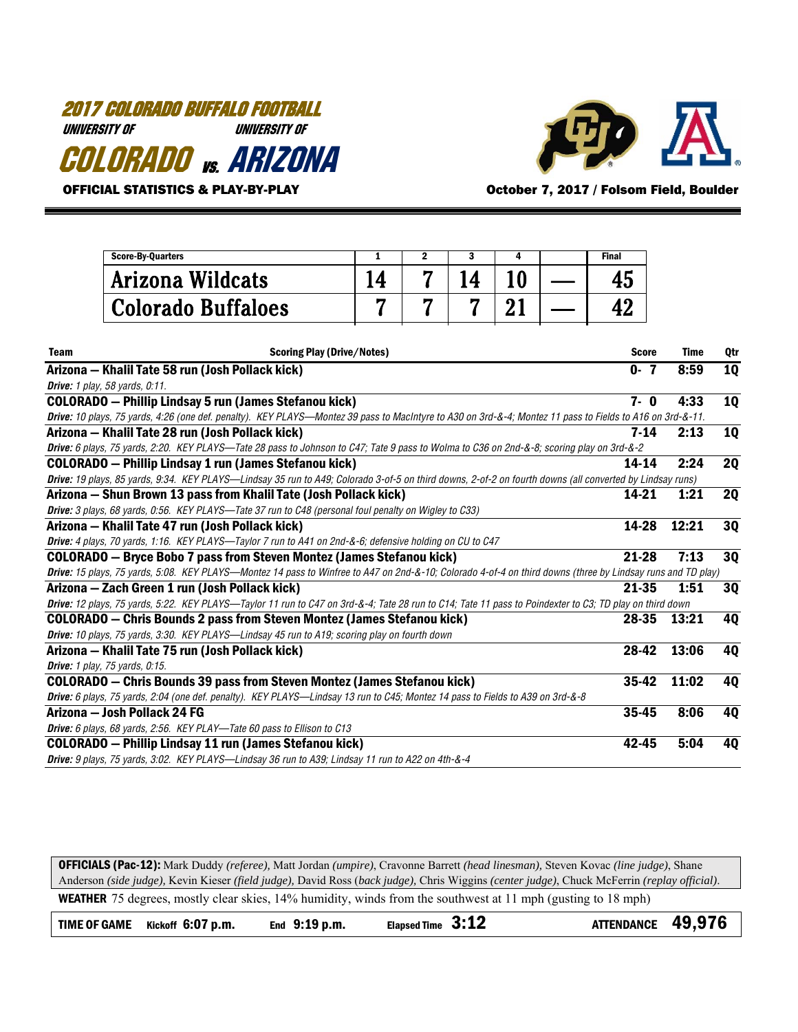# 2017 COLORADO BUFFALO FOOTBALL UNIVERSITY OF UNIVERSITY OF COLORADO vs. ARIZONA



OFFICIAL STATISTICS & PLAY-BY-PLAY **CONCERNATION COLLUM** October 7, 2017 / Folsom Field, Boulder

|             | 3<br><b>Score-By-Quarters</b><br>1<br>$\mathbf{2}$<br>4                                                                                                     |    |   |    |    |  | <b>Final</b> |             |           |
|-------------|-------------------------------------------------------------------------------------------------------------------------------------------------------------|----|---|----|----|--|--------------|-------------|-----------|
|             | Arizona Wildcats                                                                                                                                            | 14 | 7 | 14 | 10 |  | 45           |             |           |
|             | <b>Colorado Buffaloes</b>                                                                                                                                   | 7  | 7 | 7  | 21 |  | 42           |             |           |
| <b>Team</b> | <b>Scoring Play (Drive/Notes)</b>                                                                                                                           |    |   |    |    |  | <b>Score</b> | <b>Time</b> | Qtr       |
|             | Arizona - Khalil Tate 58 run (Josh Pollack kick)                                                                                                            |    |   |    |    |  | $0 - 7$      | 8:59        | <b>10</b> |
|             | <b>Drive:</b> 1 play, 58 yards, 0:11.                                                                                                                       |    |   |    |    |  |              |             |           |
|             | <b>COLORADO</b> - Phillip Lindsay 5 run (James Stefanou kick)                                                                                               |    |   |    |    |  | $7 - 0$      | 4:33        | 10        |
|             | Drive: 10 plays, 75 yards, 4:26 (one def. penalty). KEY PLAYS—Montez 39 pass to MacIntyre to A30 on 3rd-&-4; Montez 11 pass to Fields to A16 on 3rd-&-11.   |    |   |    |    |  |              |             |           |
|             | Arizona - Khalil Tate 28 run (Josh Pollack kick)                                                                                                            |    |   |    |    |  | $7 - 14$     | 2:13        | <b>10</b> |
|             | Drive: 6 plays, 75 yards, 2:20. KEY PLAYS-Tate 28 pass to Johnson to C47; Tate 9 pass to Wolma to C36 on 2nd-&-8; scoring play on 3rd-&-2                   |    |   |    |    |  |              |             |           |
|             | <b>COLORADO</b> - Phillip Lindsay 1 run (James Stefanou kick)                                                                                               |    |   |    |    |  | 14-14        | 2:24        | <b>2Q</b> |
|             | Drive: 19 plays, 85 yards, 9:34. KEY PLAYS-Lindsay 35 run to A49; Colorado 3-of-5 on third downs, 2-of-2 on fourth downs (all converted by Lindsay runs)    |    |   |    |    |  |              |             |           |
|             | Arizona – Shun Brown 13 pass from Khalil Tate (Josh Pollack kick)                                                                                           |    |   |    |    |  | 14-21        | 1:21        | <b>2Q</b> |
|             | Drive: 3 plays, 68 yards, 0:56. KEY PLAYS—Tate 37 run to C48 (personal foul penalty on Wigley to C33)                                                       |    |   |    |    |  |              |             |           |
|             | Arizona - Khalil Tate 47 run (Josh Pollack kick)                                                                                                            |    |   |    |    |  | 14-28        | 12:21       | 30        |
|             | Drive: 4 plays, 70 yards, 1:16. KEY PLAYS—Taylor 7 run to A41 on 2nd-&-6; defensive holding on CU to C47                                                    |    |   |    |    |  |              |             |           |
|             | <b>COLORADO</b> - Bryce Bobo 7 pass from Steven Montez (James Stefanou kick)                                                                                |    |   |    |    |  | $21 - 28$    | 7:13        | 30        |
|             | Drive: 15 plays, 75 yards, 5:08. KEY PLAYS—Montez 14 pass to Winfree to A47 on 2nd-&-10; Colorado 4-of-4 on third downs (three by Lindsay runs and TD play) |    |   |    |    |  |              |             |           |
|             | Arizona – Zach Green 1 run (Josh Pollack kick)                                                                                                              |    |   |    |    |  | 21-35        | 1:51        | 30        |
|             | Drive: 12 plays, 75 yards, 5:22. KEY PLAYS-Taylor 11 run to C47 on 3rd-&-4; Tate 28 run to C14; Tate 11 pass to Poindexter to C3; TD play on third down     |    |   |    |    |  |              |             |           |
|             | <b>COLORADO</b> – Chris Bounds 2 pass from Steven Montez (James Stefanou kick)                                                                              |    |   |    |    |  | 28-35        | 13:21       | <b>40</b> |
|             | Drive: 10 plays, 75 yards, 3:30. KEY PLAYS—Lindsay 45 run to A19; scoring play on fourth down                                                               |    |   |    |    |  |              |             |           |
|             | Arizona – Khalil Tate 75 run (Josh Pollack kick)                                                                                                            |    |   |    |    |  | 28-42        | 13:06       | <b>40</b> |
|             | <b>Drive:</b> 1 play, 75 yards, 0:15.                                                                                                                       |    |   |    |    |  |              |             |           |
|             | <b>COLORADO</b> - Chris Bounds 39 pass from Steven Montez (James Stefanou kick)                                                                             |    |   |    |    |  | $35-42$      | 11:02       | 40        |
|             | Drive: 6 plays, 75 yards, 2:04 (one def. penalty). KEY PLAYS—Lindsay 13 run to C45; Montez 14 pass to Fields to A39 on 3rd-&-8                              |    |   |    |    |  |              |             |           |
|             | Arizona – Josh Pollack 24 FG                                                                                                                                |    |   |    |    |  | 35-45        | 8:06        | 4Q        |
|             | Drive: 6 plays, 68 yards, 2:56. KEY PLAY-Tate 60 pass to Ellison to C13                                                                                     |    |   |    |    |  |              |             |           |
|             | <b>COLORADO</b> - Phillip Lindsay 11 run (James Stefanou kick)                                                                                              |    |   |    |    |  | 42-45        | 5:04        | 40        |
|             | Drive: 9 plays, 75 yards, 3:02. KEY PLAYS-Lindsay 36 run to A39; Lindsay 11 run to A22 on 4th-&-4                                                           |    |   |    |    |  |              |             |           |

OFFICIALS (Pac-12): Mark Duddy *(referee),* Matt Jordan *(umpire)*, Cravonne Barrett *(head linesman),* Steven Kovac *(line judge)*, Shane Anderson *(side judge),* Kevin Kieser *(field judge),* David Ross (*back judge),* Chris Wiggins *(center judge)*, Chuck McFerrin *(replay official)*. WEATHER 75 degrees, mostly clear skies, 14% humidity, winds from the southwest at 11 mph (gusting to 18 mph) TIME OF GAME Kickoff 6:07 p.m. End 9:19 p.m. Elapsed Time 3:12 ATTENDANCE 49,976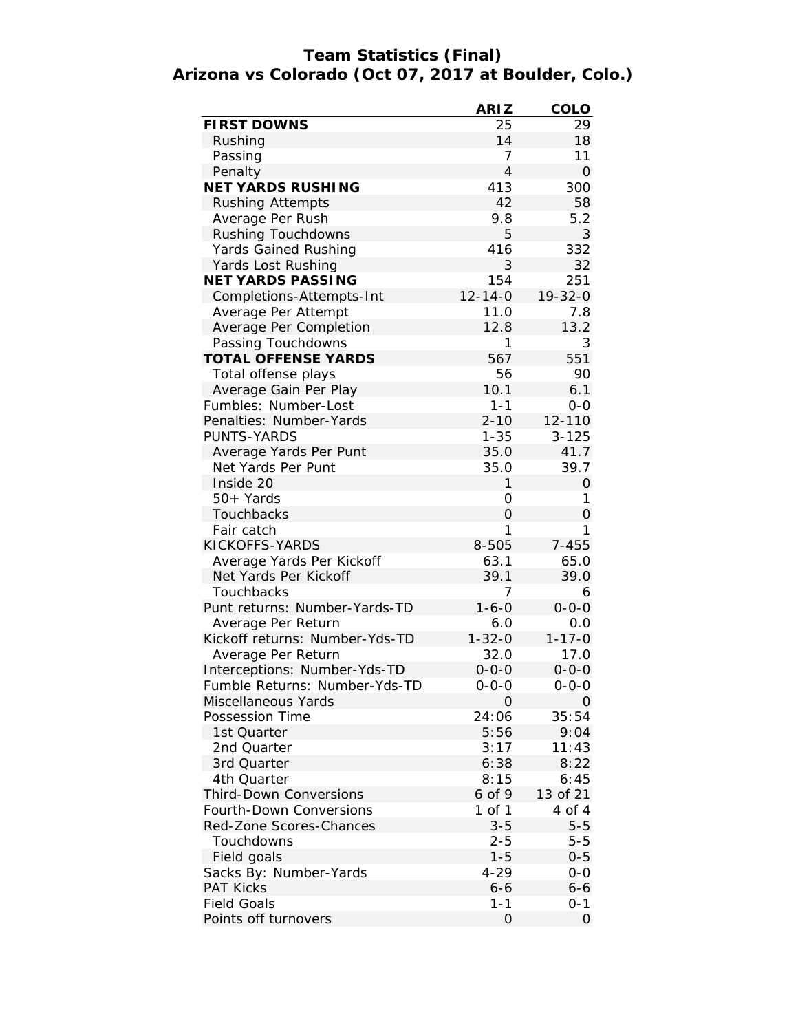# **Team Statistics (Final) Arizona vs Colorado (Oct 07, 2017 at Boulder, Colo.)**

|                                                               | <b>ARIZ</b>    | <b>COLO</b>   |
|---------------------------------------------------------------|----------------|---------------|
| <b>FIRST DOWNS</b>                                            | 25             | 29            |
| Rushing                                                       | 14             | 18            |
| Passing                                                       | 7              | 11            |
| Penalty                                                       | $\overline{4}$ | O             |
| <b>NET YARDS RUSHING</b>                                      | 413            | 300           |
| <b>Rushing Attempts</b>                                       | 42             | 58            |
| Average Per Rush                                              | 9.8            | 5.2           |
| Rushing Touchdowns                                            | 5              | 3             |
| Yards Gained Rushing                                          | 416            | 332           |
| Yards Lost Rushing                                            | 3              | 32            |
| <b>NET YARDS PASSING</b>                                      | 154            | 251           |
| Completions-Attempts-Int                                      | $12 - 14 - 0$  | $19 - 32 - 0$ |
| Average Per Attempt                                           | 11.0           | 7.8           |
| Average Per Completion                                        | 12.8           | 13.2          |
| Passing Touchdowns                                            | 1              | 3             |
| <b>TOTAL OFFENSE YARDS</b>                                    | 567            | 551           |
| Total offense plays                                           | 56             | 90            |
| Average Gain Per Play                                         | 10.1           | 6.1           |
| Fumbles: Number-Lost                                          | $1 - 1$        | $0 - 0$       |
| Penalties: Number-Yards                                       | $2 - 10$       | 12-110        |
| <b>PUNTS-YARDS</b>                                            | $1 - 35$       | $3 - 125$     |
| Average Yards Per Punt                                        | 35.0           | 41.7          |
| Net Yards Per Punt                                            | 35.0           | 39.7          |
| Inside 20                                                     | 1              | 0             |
| 50+ Yards                                                     | 0              | 1             |
| <b>Touchbacks</b>                                             | 0              | 0             |
| Fair catch                                                    | 1              | 1             |
| KICKOFFS-YARDS                                                | 8-505          | $7 - 455$     |
| Average Yards Per Kickoff                                     | 63.1           | 65.0          |
| Net Yards Per Kickoff                                         | 39.1           | 39.0          |
| Touchbacks                                                    | 7              | 6             |
| Punt returns: Number-Yards-TD                                 | $1 - 6 - 0$    | $0 - 0 - 0$   |
| Average Per Return                                            | 6.0            | 0.0           |
| Kickoff returns: Number-Yds-TD                                | $1 - 32 - 0$   | $1 - 17 - 0$  |
| Average Per Return                                            | 32.0           | 17.0          |
|                                                               | $0 - 0 - 0$    | $0 - 0 - 0$   |
| Interceptions: Number-Yds-TD<br>Fumble Returns: Number-Yds-TD |                |               |
|                                                               | 0-0-0          | 0-0-0         |
| Miscellaneous Yards<br>Possession Time                        | O              | 0<br>35:54    |
| 1st Quarter                                                   | 24:06<br>5:56  | 9:04          |
| 2nd Quarter                                                   | 3:17           | 11:43         |
| 3rd Quarter                                                   | 6:38           | 8:22          |
| 4th Quarter                                                   | 8:15           | 6:45          |
| <b>Third-Down Conversions</b>                                 | 6 of 9         | 13 of 21      |
| <b>Fourth-Down Conversions</b>                                |                |               |
|                                                               | 1 of 1         | 4 of 4        |
| <b>Red-Zone Scores-Chances</b>                                | $3 - 5$        | $5 - 5$       |
| Touchdowns                                                    | 2-5            | $5 - 5$       |
| Field goals                                                   | $1 - 5$        | $0 - 5$       |
| Sacks By: Number-Yards                                        | 4-29           | 0-0           |
| <b>PAT Kicks</b>                                              | 6-6            | 6-6           |
| <b>Field Goals</b>                                            | $1 - 1$        | 0-1           |
| Points off turnovers                                          | 0              | 0             |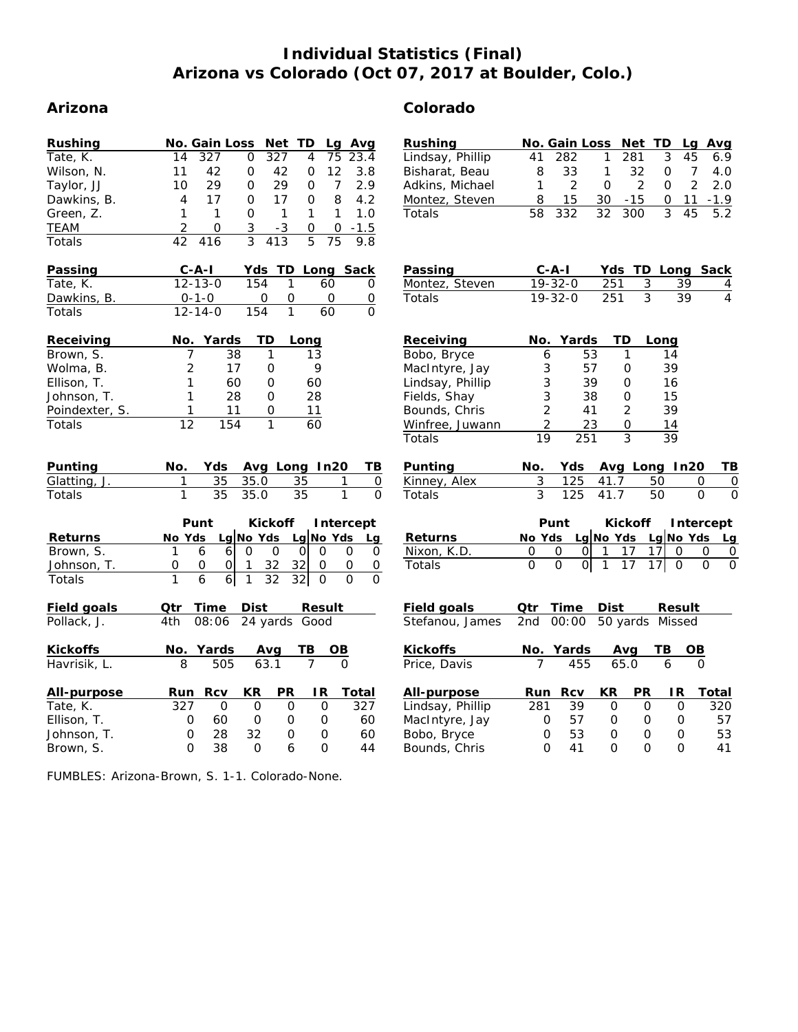# **Individual Statistics (Final) Arizona vs Colorado (Oct 07, 2017 at Boulder, Colo.)**

## **Arizona Colorado**

| Rushing                         |                | <b>No. Gain Loss</b> |                     |             | Net TD        |      | Lg                | Avg          |
|---------------------------------|----------------|----------------------|---------------------|-------------|---------------|------|-------------------|--------------|
| Tate, K.                        | 14             | 327                  |                     | 0           | 327           | 4    | 75                | 23.4         |
| Wilson, N.                      | 11             | 42                   | 0                   |             | 42            | 0    | $12 \overline{ }$ | 3.8          |
| Taylor, JJ                      | 10             | 29                   | 0                   |             | 29            | 0    | 7                 | 2.9          |
| Dawkins, B.                     | 4              | 17                   | 0                   |             | 17            | 0    | 8                 | 4.2          |
| Green, Z.                       | 1              | 1                    | O                   |             | 1             | 1    | 1                 | 1.0          |
| <b>TEAM</b>                     | $\overline{2}$ | 0                    | $\overline{3}$      |             | $-3$          | O    | 0                 | $-1.5$       |
| Totals                          | 42             | 416                  |                     | 3           | 413           | 5    | 75                | 9.8          |
| Passing                         |                | $C - A - I$          |                     |             |               |      | Yds TD Long       | Sack         |
| Tate, K.                        |                | $12 - 13 - 0$        |                     | 154         | 1             |      | 60                | 0            |
| Dawkins, B.                     |                | $0 - 1 - 0$          |                     | 0           | 0             |      | 0                 | 0            |
| Totals                          |                | $12 - 14 - 0$        |                     | 154         | 1             |      | 60                | 0            |
| Receiving                       | No.            | Yards                |                     | TD          |               | Long |                   |              |
| Brown, S.                       |                | 7                    | 38                  | 1           |               | 13   |                   |              |
| Wolma, B.                       |                | $\overline{2}$       | 17                  | 0           |               |      | 9                 |              |
| Ellison, T.                     |                | 1                    | 60                  | 0           |               | 60   |                   |              |
| Johnson, T.                     |                | 1                    | 28                  | 0           |               | 28   |                   |              |
| Poindexter, S.                  |                | 1                    | 11                  | 0           |               | 11   |                   |              |
| Totals                          | 12             |                      | 154                 | 1           |               | 60   |                   |              |
|                                 |                |                      |                     |             |               |      |                   |              |
|                                 |                |                      |                     |             |               |      |                   |              |
| Punting                         | No.            | Yds                  |                     |             |               |      | Avg_Long_In20     | TВ           |
| Glatting, J.                    | 1              | 35                   |                     | 35.0        |               | 35   |                   | 1<br>0       |
| Totals                          | 1              | 35                   |                     | 35.0        |               | 35   |                   | 1<br>0       |
|                                 |                | Punt                 |                     |             | Kickoff       |      |                   | Intercept    |
| <b>Returns</b>                  | No Yds         |                      | Lg No Yds Lg No Yds |             |               |      |                   | Lg           |
| Brown, S.                       | 1              | 6                    | 6                   | 0           | 0             | 0l   | 0                 | 0<br>0       |
| Johnson, T.                     | 0              | 0                    | 1<br>0              |             | 32            | 32I  | 0                 | 0<br>0       |
| Totals                          | 1              | 6                    | 1<br>6 <sup>1</sup> |             | 32            | 32   | 0                 | 0<br>0       |
| <b>Field goals</b>              |                | Qtr Time Dist        |                     |             |               |      | <b>Result</b>     |              |
| Pollack, J.                     | 4th -          | 08:06                |                     |             | 24 yards Good |      |                   |              |
|                                 |                |                      |                     |             |               |      |                   |              |
| <b>Kickoffs</b><br>Havrisik, L. | 8              | No. Yards            | 505                 | Avg<br>63.1 |               | ТB   | OВ                |              |
| All-purpose                     | Run            | <b>Rcv</b>           |                     | КR          | PR            |      | IR.               | <b>Total</b> |
| Tate, K.                        | 327            |                      | 0                   | 0           | 0             |      | 0                 | 327          |
| Ellison, T.                     |                | 60<br>0              |                     | 0           | 0             |      | 0                 | 60           |
| Johnson, T.                     |                | 0<br>28              |                     | 32          | 0             |      | 0                 | 60           |
| Brown, S.                       |                | O<br>38              |                     | 0           | 6             |      | 0                 | 44           |

Lindsay, Phillip 41 282 1 281 3 45 6.9<br>Bisharat, Beau 8 33 1 32 0 7 4.0 Bisharat, Beau 8 33 1 32

| Adkins, Michael                 | 1                                          | 2                                    | 0              |                           | 2               | 0               | 2                | 2.0               |
|---------------------------------|--------------------------------------------|--------------------------------------|----------------|---------------------------|-----------------|-----------------|------------------|-------------------|
| Montez, Steven                  | 8                                          | 15                                   |                | $30 - 15$                 |                 | $\overline{O}$  | 11               | $-1.9$            |
| <b>Totals</b>                   | 58                                         | 332                                  | 32             | 300                       |                 | $\mathcal{R}$   | 45               |                   |
|                                 |                                            |                                      |                |                           |                 |                 |                  |                   |
|                                 |                                            |                                      |                |                           |                 |                 |                  |                   |
|                                 |                                            |                                      |                |                           |                 |                 |                  |                   |
| <b>Passing</b>                  |                                            | $C-A-I$                              |                |                           |                 |                 | Yds TD Long Sack |                   |
| Montez, Steven                  |                                            | $19 - 32 - 0$                        | 251            |                           | 3               | 39              |                  | $\frac{4}{4}$     |
| Totals                          |                                            | 19-32-0                              | 251            |                           | $\overline{3}$  | 39              |                  |                   |
|                                 |                                            |                                      |                |                           |                 |                 |                  |                   |
| <b>Receiving</b>                | No.                                        | Yards                                |                | TD                        | Long            |                 |                  |                   |
| Bobo, Bryce                     | 6                                          | 53                                   |                | 1                         |                 | 14              |                  |                   |
| MacIntyre, Jay                  |                                            | 57                                   |                | 0                         |                 | 39              |                  |                   |
| Lindsay, Phillip                |                                            | 39                                   |                | 0                         |                 | 16              |                  |                   |
| Fields, Shay                    |                                            | 38                                   |                | 0                         |                 | 15              |                  |                   |
| Bounds, Chris                   | $\begin{array}{c} 3 \\ 3 \\ 2 \end{array}$ | 41                                   |                | $\overline{2}$            |                 | 39              |                  |                   |
| Winfree, Juwann                 |                                            |                                      |                | 0                         |                 |                 |                  |                   |
| <b>Totals</b>                   | $\frac{2}{19}$                             | $\frac{23}{251}$                     |                | $\overline{3}$            |                 | $\frac{14}{39}$ |                  |                   |
|                                 |                                            |                                      |                |                           |                 |                 |                  |                   |
|                                 |                                            |                                      |                |                           |                 |                 |                  |                   |
| Punting                         |                                            | No. Yds Avg Long In20                |                |                           |                 |                 |                  | TВ                |
| Kinney, Alex                    | 3                                          | 125                                  |                | 41.7                      | 50              |                 | 0                | 0                 |
| <b>Totals</b>                   | $\frac{1}{3}$                              | 125                                  | 41.7           |                           | 50              |                 | $\Omega$         | O                 |
|                                 |                                            |                                      |                |                           |                 |                 |                  |                   |
|                                 |                                            | Punt                                 |                |                           |                 |                 |                  | Kickoff Intercept |
| <b>Returns</b>                  |                                            | <u>No Yds Lg No Yds Lg No Yds Lg</u> |                |                           |                 |                 |                  |                   |
| Nixon, K.D.                     | 0                                          | 0<br>01                              | $\mathbf{1}$   |                           | 17              | $\overline{0}$  | 0                | 0                 |
| <b>Totals</b>                   | $\Omega$                                   | 0                                    | $\overline{1}$ | $\frac{17}{17}$           | $\overline{17}$ |                 | $\overline{0}$   | $\Omega$          |
|                                 |                                            |                                      |                |                           |                 |                 |                  |                   |
|                                 |                                            |                                      |                |                           |                 |                 |                  |                   |
| Field goals                     |                                            | Qtr Time                             | Dist           |                           | Result          |                 |                  |                   |
| Stefanou, James                 | 2nd                                        | 00:00 50 yards Missed                |                |                           |                 |                 |                  |                   |
| <b>Kickoffs</b>                 |                                            |                                      |                |                           | ΤВ              |                 |                  |                   |
| Price, Davis                    |                                            | No. Yards<br>7 455                   |                | $\frac{\text{Avg}}{65.0}$ |                 | 6               |                  |                   |
|                                 |                                            |                                      |                |                           |                 |                 |                  |                   |
| All-purpose<br>Lindsay, Phillip | Run<br>281                                 | Rcv<br>39                            | КR<br>$\Omega$ |                           | PR<br>$\Omega$  | IR.             |                  | Total<br>320      |

MacIntyre, Jay 0 57 0 0 0 57<br>Bobo, Bryce 0 53 0 0 0 53

Proposition Bobo, Bryce  $\begin{array}{cccccc} 0 & 53 & 0 & 0 & 0 \\ 0 & 41 & 0 & 0 & 0 \end{array}$ Bounds, Chris 0 41 0 0 0 41

**Rushing No. Gain Loss Net TD Lg Avg**

FUMBLES: Arizona-Brown, S. 1-1. Colorado-None.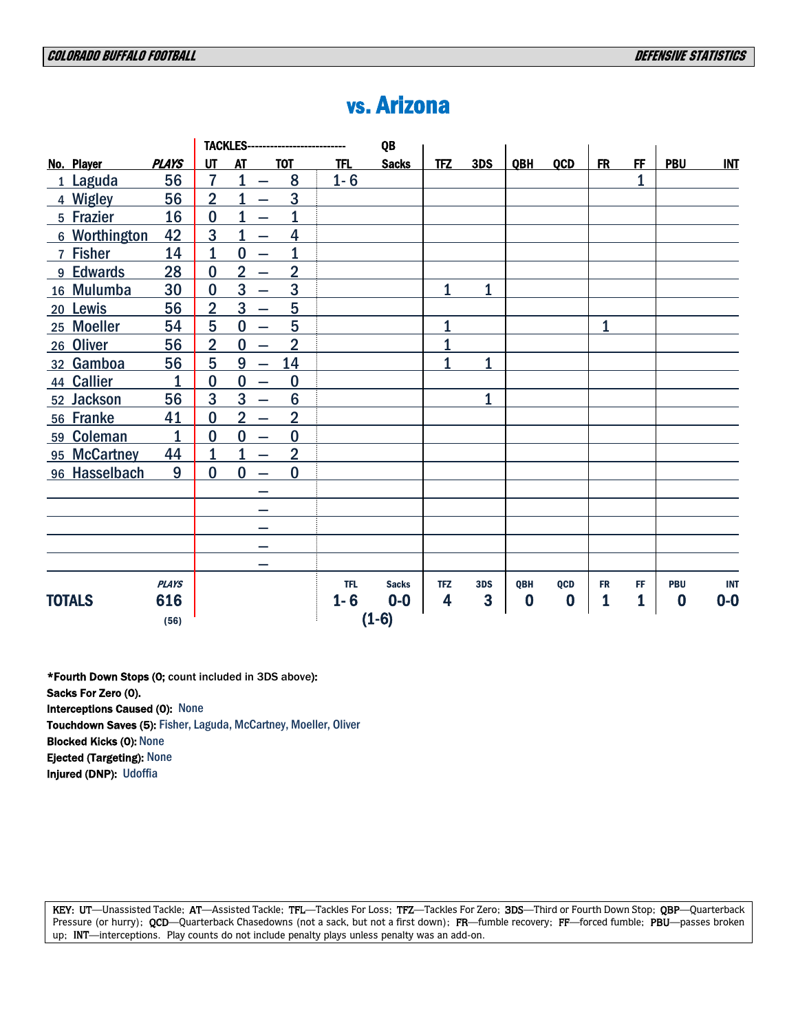|               |                |                |                                            | TACKLES-------------------------- |            | QB           |             |              |                  |                  |              |                |                  |            |
|---------------|----------------|----------------|--------------------------------------------|-----------------------------------|------------|--------------|-------------|--------------|------------------|------------------|--------------|----------------|------------------|------------|
| No. Player    | <b>PLAYS</b>   | UT             | <b>AT</b>                                  | <b>TOT</b>                        | <b>TFL</b> | <b>Sacks</b> | <b>TFZ</b>  | 3DS          | QBH              | <b>QCD</b>       | <b>FR</b>    | F <sub>F</sub> | <b>PBU</b>       | <b>INT</b> |
| 1 Laguda      | 56             | $\overline{7}$ | 1<br>$\overline{\phantom{0}}$              | 8                                 | $1 - 6$    |              |             |              |                  |                  |              | 1              |                  |            |
| 4 Wigley      | 56             | $\overline{2}$ |                                            | 3                                 |            |              |             |              |                  |                  |              |                |                  |            |
| 5 Frazier     | 16             | $\bf{0}$       |                                            | 1                                 |            |              |             |              |                  |                  |              |                |                  |            |
| 6 Worthington | 42             | 3              | 1                                          | 4                                 |            |              |             |              |                  |                  |              |                |                  |            |
| 7 Fisher      | 14             | 1              | $\bf{0}$<br>$\overline{\phantom{0}}$       |                                   |            |              |             |              |                  |                  |              |                |                  |            |
| 9 Edwards     | 28             | $\bf{0}$       | $\overline{2}$<br>$\overline{\phantom{0}}$ | $\overline{2}$                    |            |              |             |              |                  |                  |              |                |                  |            |
| 16 Mulumba    | 30             | $\bf{0}$       | 3                                          | 3                                 |            |              | $\mathbf 1$ | $\mathbf{1}$ |                  |                  |              |                |                  |            |
| 20 Lewis      | 56             | $\overline{2}$ | 3<br>$\overline{\phantom{0}}$              | 5                                 |            |              |             |              |                  |                  |              |                |                  |            |
| 25 Moeller    | 54             | 5              | $\bf{0}$<br>$\equiv$                       | 5                                 |            |              | 1           |              |                  |                  | $\mathbf{1}$ |                |                  |            |
| 26 Oliver     | 56             | $\overline{2}$ | $\bf{0}$<br>$\overline{\phantom{0}}$       | $\overline{2}$                    |            |              | 1           |              |                  |                  |              |                |                  |            |
| 32 Gamboa     | 56             | 5              | 9<br>$\overline{\phantom{0}}$              | 14                                |            |              | 1           | $\mathbf{1}$ |                  |                  |              |                |                  |            |
| 44 Callier    | 1              | $\bf{0}$       | $\bf{0}$<br>$\overline{\phantom{0}}$       | $\bf{0}$                          |            |              |             |              |                  |                  |              |                |                  |            |
| 52 Jackson    | 56             | 3              | 3<br>$\overline{\phantom{0}}$              | $6\phantom{1}6$                   |            |              |             | $\mathbf{1}$ |                  |                  |              |                |                  |            |
| 56 Franke     | 41             | $\bf{0}$       | $\overline{2}$<br>$\equiv$                 | $\overline{2}$                    |            |              |             |              |                  |                  |              |                |                  |            |
| 59 Coleman    | $\overline{1}$ | $\bf{0}$       | $\bf{0}$<br>$\overline{\phantom{m}}$       | $\bf{0}$                          |            |              |             |              |                  |                  |              |                |                  |            |
| 95 McCartney  | 44             | 1              | 1<br>$\overline{\phantom{0}}$              | $\overline{2}$                    |            |              |             |              |                  |                  |              |                |                  |            |
| 96 Hasselbach | 9              | $\bf{0}$       | $\bf{0}$                                   | $\bf{0}$                          |            |              |             |              |                  |                  |              |                |                  |            |
|               |                |                |                                            |                                   |            |              |             |              |                  |                  |              |                |                  |            |
|               |                |                |                                            |                                   |            |              |             |              |                  |                  |              |                |                  |            |
|               |                |                | -                                          |                                   |            |              |             |              |                  |                  |              |                |                  |            |
|               |                |                | -                                          |                                   |            |              |             |              |                  |                  |              |                |                  |            |
|               |                |                |                                            |                                   |            |              |             |              |                  |                  |              |                |                  |            |
|               | <b>PLAYS</b>   |                |                                            |                                   | <b>TFL</b> | <b>Sacks</b> | <b>TFZ</b>  | 3DS          | QBH              | QCD              | <b>FR</b>    | FF             | <b>PBU</b>       | <b>INT</b> |
| <b>TOTALS</b> | 616            |                |                                            |                                   | $1 - 6$    | $0-0$        | 4           | 3            | $\boldsymbol{0}$ | $\boldsymbol{0}$ | 1            | 1              | $\boldsymbol{0}$ | $0-0$      |
|               | (56)           |                |                                            |                                   |            | $(1-6)$      |             |              |                  |                  |              |                |                  |            |

# vs. Arizona

\*Fourth Down Stops (0; count included in 3DS above):  Sacks For Zero (0). **Interceptions Caused (0): None**  Touchdown Saves (5): Fisher, Laguda, McCartney, Moeller, Oliver**Blocked Kicks (0): None**  Ejected (Targeting): None

 Injured (DNP): Udoffia

KEY: UT-Unassisted Tackle; AT-Assisted Tackle; TFL-Tackles For Loss; TFZ-Tackles For Zero; 3DS-Third or Fourth Down Stop; QBP-Quarterback Pressure (or hurry); QCD—Quarterback Chasedowns (not a sack, but not a first down); FR—fumble recovery; FF—forced fumble; PBU—passes broken up; INT—interceptions. Play counts do not include penalty plays unless penalty was an add-on.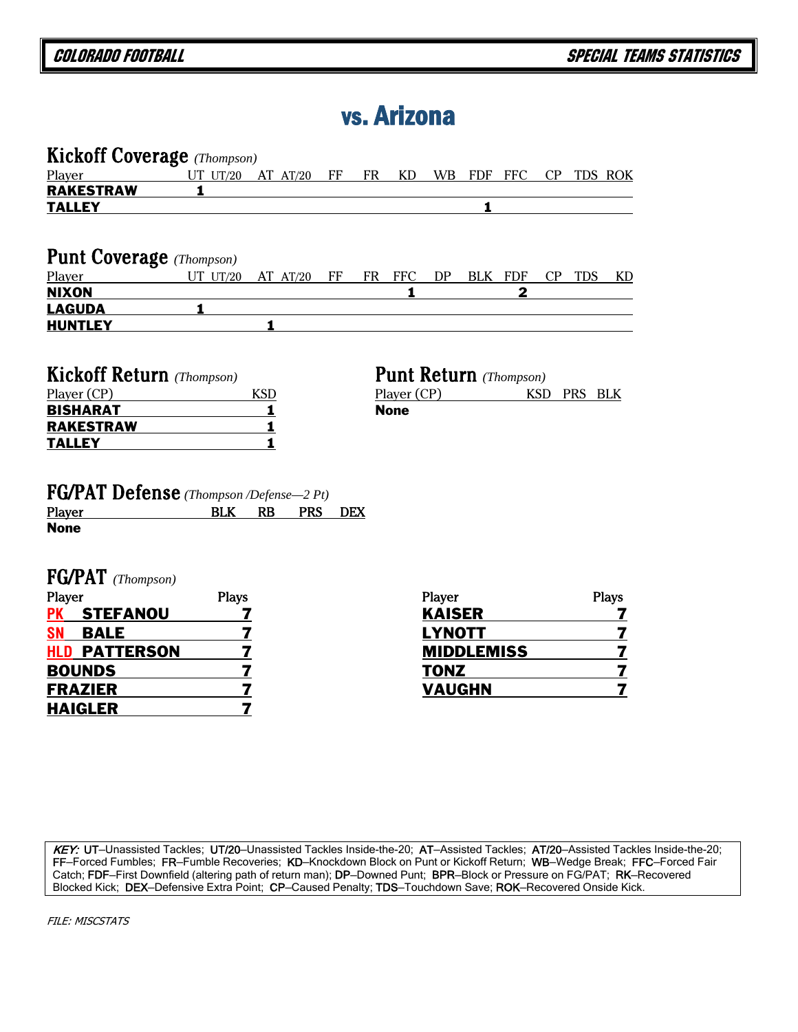# vs. Arizona

| <b>Kickoff Coverage</b> (Thompson)                                      |                |                         |    |            |                                              |                   |            |                |            |            |                         |
|-------------------------------------------------------------------------|----------------|-------------------------|----|------------|----------------------------------------------|-------------------|------------|----------------|------------|------------|-------------------------|
| Player                                                                  | UT $UT/20$     | $AT$ $AT/20$            | FF | <b>FR</b>  | <b>KD</b>                                    | <b>WB</b>         | <b>FDF</b> | $_{\rm{FFC}}$  |            | CP TDS ROK |                         |
| <b>RAKESTRAW</b>                                                        | 1              |                         |    |            |                                              |                   |            |                |            |            |                         |
| <b>TALLEY</b>                                                           |                |                         |    |            |                                              |                   | 1          |                |            |            |                         |
|                                                                         |                |                         |    |            |                                              |                   |            |                |            |            |                         |
| <b>Punt Coverage</b> (Thompson)                                         |                |                         |    |            |                                              |                   |            |                |            |            |                         |
| Player                                                                  | UT UT/20       | AT $AT/20$              | FF | FR         | <b>FFC</b>                                   | DP                |            | BLK FDF        | CP         | <b>TDS</b> | KD                      |
| <b>NIXON</b>                                                            |                |                         |    |            | 1                                            |                   |            | $\overline{2}$ |            |            |                         |
| <b>LAGUDA</b>                                                           | 1              |                         |    |            |                                              |                   |            |                |            |            |                         |
| <b>HUNTLEY</b>                                                          |                | $\mathbf{1}$            |    |            |                                              |                   |            |                |            |            |                         |
|                                                                         |                |                         |    |            |                                              |                   |            |                |            |            |                         |
| <b>Kickoff Return</b> (Thompson)<br>Player (CP)                         |                | <b>KSD</b>              |    |            | <b>Punt Return</b> (Thompson)<br>Player (CP) |                   |            |                | <b>KSD</b> | PRS BLK    |                         |
| <b>BISHARAT</b>                                                         |                | 1                       |    |            | <b>None</b>                                  |                   |            |                |            |            |                         |
| <b>RAKESTRAW</b>                                                        |                | $\mathbf{1}$            |    |            |                                              |                   |            |                |            |            |                         |
| <b>TALLEY</b>                                                           |                | 1                       |    |            |                                              |                   |            |                |            |            |                         |
|                                                                         |                |                         |    |            |                                              |                   |            |                |            |            |                         |
| <b>FG/PAT Defense</b> (Thompson /Defense-2 Pt)<br>Player<br><b>None</b> | <b>BLK</b>     | <b>RB</b><br><b>PRS</b> |    | <b>DEX</b> |                                              |                   |            |                |            |            |                         |
| $FG/PAT$ (Thompson)                                                     |                |                         |    |            |                                              |                   |            |                |            |            |                         |
| Player                                                                  | <b>Plays</b>   |                         |    |            |                                              | Player            |            |                |            |            | <b>Plays</b>            |
| <b>STEFANOU</b><br>РK                                                   | 7              |                         |    |            |                                              | <b>KAISER</b>     |            |                |            |            | 7                       |
| SN<br><b>BALE</b>                                                       | 7              |                         |    |            |                                              | <b>LYNOTT</b>     |            |                |            |            | 7                       |
| <b>HLD PATTERSON</b>                                                    | 7              |                         |    |            |                                              | <b>MIDDLEMISS</b> |            |                |            |            | 7                       |
| <b>BOUNDS</b>                                                           | 7              |                         |    |            |                                              | <b>TONZ</b>       |            |                |            |            | 7                       |
| <b>FRAZIER</b>                                                          | 7              |                         |    |            |                                              | <b>VAUGHN</b>     |            |                |            |            | $\overline{\mathbf{z}}$ |
| <b>HAIGLER</b>                                                          | $\overline{7}$ |                         |    |            |                                              |                   |            |                |            |            |                         |

KEY: UT-Unassisted Tackles; UT/20-Unassisted Tackles Inside-the-20; AT-Assisted Tackles; AT/20-Assisted Tackles Inside-the-20; FF—Forced Fumbles; FR—Fumble Recoveries; KD—Knockdown Block on Punt or Kickoff Return; WB—Wedge Break; FFC—Forced Fair Catch; FDF—First Downfield (altering path of return man); DP—Downed Punt; BPR—Block or Pressure on FG/PAT; RK—Recovered Blocked Kick; DEX—Defensive Extra Point; CP—Caused Penalty; TDS—Touchdown Save; ROK—Recovered Onside Kick.

FILE: MISCSTATS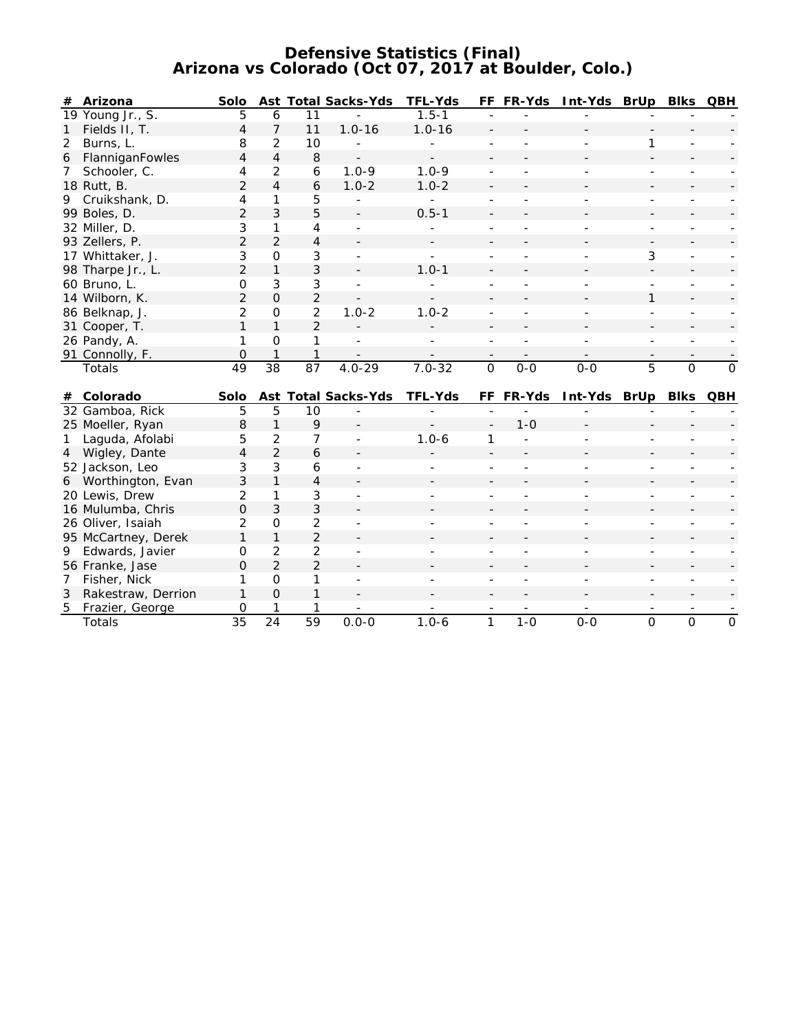#### **Defensive Statistics (Final) Arizona vs Colorado (Oct 07, 2017 at Boulder, Colo.)**

| #            | Arizona           | Solo           |          |                | <b>Ast Total Sacks-Yds</b> | <b>TFL-Yds</b> |                          | FF FR-Yds | Int-Yds | BrUp | <b>Blks</b> | <b>QBH</b> |
|--------------|-------------------|----------------|----------|----------------|----------------------------|----------------|--------------------------|-----------|---------|------|-------------|------------|
|              | 19 Young Jr., S.  | 5              | 6        |                |                            | $1.5 - 1$      |                          |           |         |      |             |            |
|              | Fields II, T.     | 4              |          | 11             | $1.0 - 16$                 | $1.0 - 16$     |                          |           |         |      |             |            |
| $\mathbf{2}$ | Burns, L.         | 8              | 2        | 10             |                            |                |                          |           |         |      |             |            |
| 6            | FlanniganFowles   | 4              | 4        | 8              |                            |                |                          |           |         |      |             |            |
| 7            | Schooler, C.      | 4              | 2        | 6              | $1.0 - 9$                  | $1.0 - 9$      |                          |           |         |      |             |            |
|              | 18 Rutt, B.       | $\mathcal{P}$  | 4        | 6              | $1.0 - 2$                  | $1.0 - 2$      |                          |           |         |      |             |            |
| 9            | Cruikshank, D.    | 4              |          | 5              |                            |                |                          |           |         |      |             |            |
|              | 99 Boles, D.      | $\overline{2}$ | 3        | 5              |                            | $0.5 - 1$      |                          |           |         |      |             |            |
|              | 32 Miller, D.     | 3              |          | 4              |                            |                |                          |           |         |      |             |            |
|              | 93 Zellers, P.    | 2              | 2        | 4              |                            |                |                          |           |         |      |             |            |
|              | 17 Whittaker, J.  | 3              | $\Omega$ | 3              |                            |                |                          |           |         | 3    |             |            |
|              | 98 Tharpe Jr., L. | $\mathcal{P}$  |          | 3              |                            | $1.0 - 1$      |                          |           |         |      |             |            |
|              | 60 Bruno, L.      | 0              | 3        | 3              |                            |                |                          |           |         |      |             |            |
|              | 14 Wilborn, K.    | 2              | $\Omega$ | $\overline{2}$ |                            |                |                          |           |         |      |             |            |
|              | 86 Belknap, J.    | $\mathcal{P}$  | $\Omega$ | $\mathcal{P}$  | $1.0 - 2$                  | $1.0 - 2$      | $\overline{\phantom{a}}$ |           |         |      |             |            |
|              | 31 Cooper, T.     |                |          | $\overline{2}$ |                            |                |                          |           |         |      |             |            |
|              | 26 Pandy, A.      |                | $\Omega$ |                |                            |                |                          |           |         |      |             |            |
|              | 91 Connolly, F.   | 0              |          |                |                            |                |                          |           |         |      |             |            |
|              | Totals            | 49             | 38       | 87             | $4.0 - 29$                 | $7.0 - 32$     | $\Omega$                 | $0 - 0$   | $0-0$   | 5    | 0           | $\Omega$   |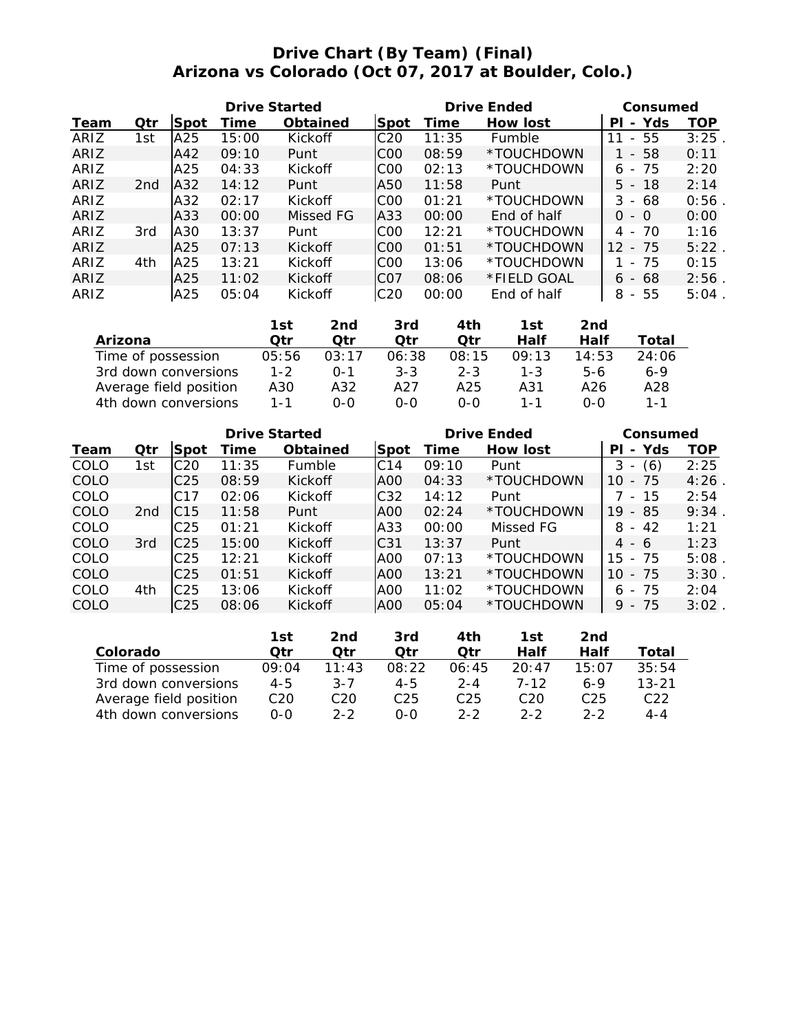# **Drive Chart (By Team) (Final) Arizona vs Colorado (Oct 07, 2017 at Boulder, Colo.)**

|      |                 |             | <b>Drive Started</b> |                 |                 |       | <b>Drive Ended</b> | Consumed                             |      |
|------|-----------------|-------------|----------------------|-----------------|-----------------|-------|--------------------|--------------------------------------|------|
| Team | Qtr             | <b>Spot</b> | Time                 | <b>Obtained</b> | Spot            | Time  | <b>How lost</b>    | Yds<br>PI<br>$\sim$                  | TOP  |
| ARIZ | 1st             | A25         | 15:00                | Kickoff         | C <sub>20</sub> | 11:35 | Fumble             | 55<br>11<br>$\sim$                   | 3:25 |
| ARIZ |                 | A42         | 09:10                | Punt            | C <sub>00</sub> | 08:59 | *TOUCHDOWN         | 58<br>$\sim$                         | 0:11 |
| ARIZ |                 | A25         | 04:33                | Kickoff         | C <sub>0</sub>  | 02:13 | *TOUCHDOWN         | -75<br>6<br>$\overline{\phantom{a}}$ | 2:20 |
| ARIZ | 2 <sub>nd</sub> | A32         | 14:12                | Punt            | A50             | 11:58 | Punt               | $5 - 18$                             | 2:14 |
| ARIZ |                 | A32         | 02:17                | Kickoff         | C <sub>00</sub> | 01:21 | *TOUCHDOWN         | 3<br>- 68                            | 0:56 |
| ARIZ |                 | A33         | 00:00                | Missed FG       | A33             | 00:00 | End of half        | 0<br>- 0                             | 0:00 |
| ARIZ | 3rd             | A30         | 13:37                | Punt            | C <sub>0</sub>  | 12:21 | *TOUCHDOWN         | 4 - 70                               | 1:16 |
| ARIZ |                 | A25         | 07:13                | Kickoff         | C <sub>00</sub> | 01:51 | *TOUCHDOWN         | $12 - 75$                            | 5:22 |
| ARIZ | 4th             | A25         | 13:21                | Kickoff         | COO             | 13:06 | *TOUCHDOWN         | -75<br>$\overline{a}$                | 0:15 |
| ARIZ |                 | A25         | 11:02                | Kickoff         | ICO7            | 08:06 | *FIELD GOAL        | $6 - 68$                             | 2:56 |
| ARIZ |                 | A25         | 05:04                | Kickoff         | C <sub>20</sub> | 00:00 | End of half        | 8<br>55<br>$\sim$                    | 5:04 |

|                        | 1st     | 2nd     | 3rd     | 4th     | 1st     | 2nd        |         |
|------------------------|---------|---------|---------|---------|---------|------------|---------|
| Arizona                | Otr     | Otr     | Otr     | Otr     | Half    | Half       | Total   |
| Time of possession     | 05:56   | 03:17   | 06:38   | 08:15   | 09:13   | 14:53      | 24:06   |
| 3rd down conversions   | $1 - 2$ | $0 - 1$ | $3 - 3$ | $2 - 3$ | $1 - 3$ | $5-6$      | $6 - 9$ |
| Average field position | A30     | A32     | A27     | A25     | A31     | A26        | A28     |
| 4th down conversions   | 1 - 1   | റ-റ     | ი-ი     | $O-O$   | 1 - 1   | <u>ດ-ດ</u> | $1 - 1$ |

|      |                 |                 |       | <b>Drive Started</b> |                 |       | <b>Drive Ended</b> | Consumed                              |      |
|------|-----------------|-----------------|-------|----------------------|-----------------|-------|--------------------|---------------------------------------|------|
| Team | Qtr             | Spot            | Time  | <b>Obtained</b>      | Spot            | Time  | How lost           | Yds<br>PL<br>$\blacksquare$           | TOP  |
| COLO | 1st             | C <sub>20</sub> | 11:35 | Fumble               | C <sub>14</sub> | 09:10 | Punt               | (6)<br>3<br>$\overline{\phantom{a}}$  | 2:25 |
| COLO |                 | C <sub>25</sub> | 08:59 | Kickoff              | A <sub>00</sub> | 04:33 | *TOUCHDOWN         | -75<br>10<br>$\overline{\phantom{0}}$ | 4:26 |
| COLO |                 | C17             | 02:06 | Kickoff              | C <sub>32</sub> | 14:12 | Punt               | -15<br>$\overline{\phantom{a}}$       | 2:54 |
| COLO | 2 <sub>nd</sub> | IC15            | 11:58 | Punt                 | AOO             | 02:24 | *TOUCHDOWN         | 19<br>85<br>$\overline{\phantom{0}}$  | 9:34 |
| COLO |                 | C25             | 01:21 | Kickoff              | A33             | 00:00 | Missed FG          | 42<br>8<br>$\sim$                     | 1:21 |
| COLO | 3rd             | C <sub>25</sub> | 15:00 | Kickoff              | C <sub>31</sub> | 13:37 | Punt               | 4<br>- 6                              | 1:23 |
| COLO |                 | C <sub>25</sub> | 12:21 | Kickoff              | A <sub>00</sub> | 07:13 | *TOUCHDOWN         | 15<br>- 75                            | 5:08 |
| COLO |                 | C <sub>25</sub> | 01:51 | Kickoff              | A00             | 13:21 | *TOUCHDOWN         | - 75<br>10                            | 3:30 |
| COLO | 4th             | C <sub>25</sub> | 13:06 | Kickoff              | A <sub>00</sub> | 11:02 | *TOUCHDOWN         | - 75<br>6                             | 2:04 |
| COLO |                 | C25             | 08:06 | Kickoff              | A00             | 05:04 | *TOUCHDOWN         | -75<br>9<br>$\overline{\phantom{a}}$  | 3:02 |

|                        | 1st     | 2nd     | 3rd             | 4th             | 1st      | 2nd     |           |
|------------------------|---------|---------|-----------------|-----------------|----------|---------|-----------|
| Colorado               | Otr     | Otr     | Otr             | Otr             | Half     | Half    | Total     |
| Time of possession     | 09:04   | 11:43   | 08:22           | 06:45           | 20:47    | 15:07   | 35:54     |
| 3rd down conversions   | $4 - 5$ | $3 - 7$ | 4-5             | $2 - 4$         | $7 - 12$ | 6-9     | $13 - 21$ |
| Average field position | C20     | C20     | C <sub>25</sub> | C <sub>25</sub> | C20      | C25     | C22       |
| 4th down conversions   | $0 - 0$ | $2 - 2$ | $O-O$           | $2 - 2$         | $2 - 2$  | $2 - 2$ | $4 - 4$   |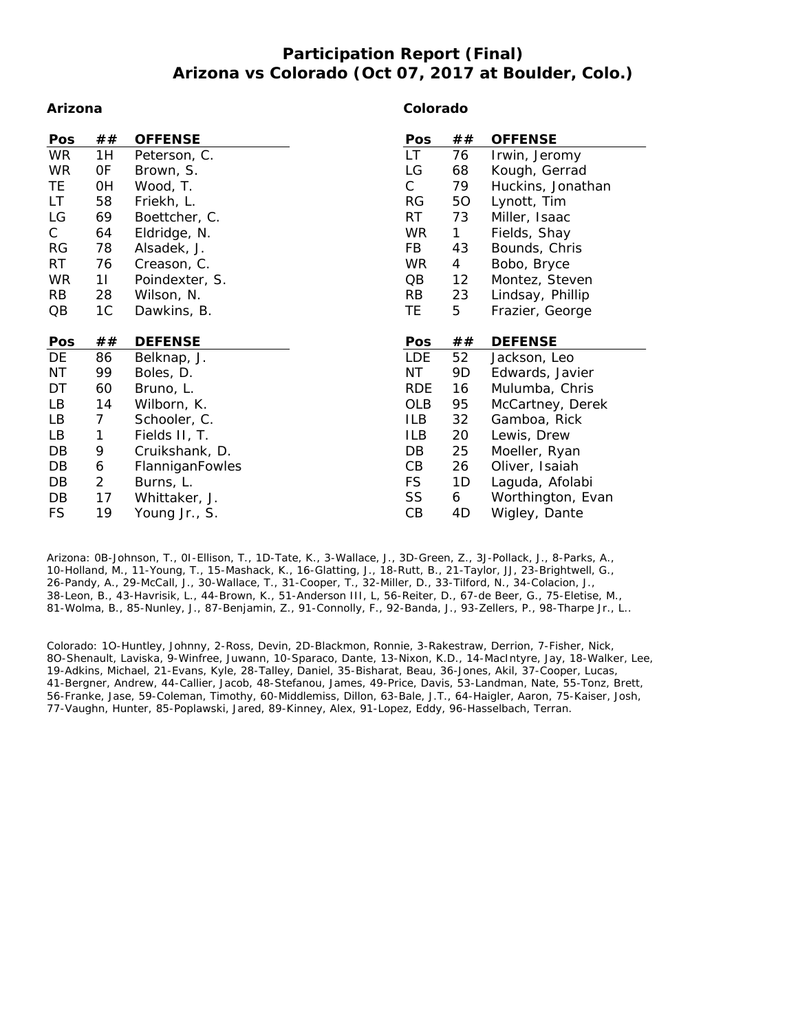## **Participation Report (Final) Arizona vs Colorado (Oct 07, 2017 at Boulder, Colo.)**

#### **Arizona**

#### **Colorado**

| Pos        | ##             | <b>OFFENSE</b>  | Pos        | ##                | <b>OFFENSE</b>    |
|------------|----------------|-----------------|------------|-------------------|-------------------|
| <b>WR</b>  | 1H             | Peterson, C.    | LT.        | 76                | Irwin, Jeromy     |
| <b>WR</b>  | 0F             | Brown, S.       | LG         | 68                | Kough, Gerrad     |
| TE         | 0H             | Wood, T.        | C          | 79                | Huckins, Jonathan |
| LT.        | 58             | Friekh, L.      | RG         | 50                | Lynott, Tim       |
| LG         | 69             | Boettcher, C.   | RT         | 73                | Miller, Isaac     |
| C          | 64             | Eldridge, N.    | WR         | 1.                | Fields, Shay      |
| <b>RG</b>  | 78             | Alsadek, J.     | FB         | 43                | Bounds, Chris     |
| <b>RT</b>  | 76             | Creason, C.     | WR         | 4                 | Bobo, Bryce       |
| <b>WR</b>  | 11             | Poindexter, S.  | QB         | $12 \overline{ }$ | Montez, Steven    |
| RB         | 28             | Wilson, N.      | <b>RB</b>  | 23                | Lindsay, Phillip  |
| QB         | 1C             | Dawkins, B.     | TE.        | 5                 | Frazier, George   |
|            |                |                 |            |                   |                   |
|            |                |                 |            |                   |                   |
| <b>Pos</b> | ##             | <b>DEFENSE</b>  | Pos        | ##                | <b>DEFENSE</b>    |
| DE         | 86             | Belknap, J.     | <b>LDE</b> | 52                | Jackson, Leo      |
| ΝT         | 99             | Boles, D.       | NT         | 9D                | Edwards, Javier   |
| DT         | 60             | Bruno, L.       | <b>RDE</b> | 16                | Mulumba, Chris    |
| LB         | 14             | Wilborn, K.     | <b>OLB</b> | 95                | McCartney, Derek  |
| LB         | $\overline{7}$ | Schooler, C.    | ILB        | 32                | Gamboa, Rick      |
| LB         | 1              | Fields II, T.   | ILB        | 20                | Lewis, Drew       |
| DB         | 9              | Cruikshank, D.  | DB         | 25                | Moeller, Ryan     |
| DB         | 6              | FlanniganFowles | CВ         | 26                | Oliver, Isaiah    |
| DB         | $\overline{2}$ | Burns, L.       | <b>FS</b>  | 1D                | Laguda, Afolabi   |
| DB         | 17             | Whittaker, J.   | SS         | 6                 | Worthington, Evan |
|            |                |                 |            |                   |                   |

Arizona: 0B-Johnson, T., 0I-Ellison, T., 1D-Tate, K., 3-Wallace, J., 3D-Green, Z., 3J-Pollack, J., 8-Parks, A., 10-Holland, M., 11-Young, T., 15-Mashack, K., 16-Glatting, J., 18-Rutt, B., 21-Taylor, JJ, 23-Brightwell, G., 26-Pandy, A., 29-McCall, J., 30-Wallace, T., 31-Cooper, T., 32-Miller, D., 33-Tilford, N., 34-Colacion, J., 38-Leon, B., 43-Havrisik, L., 44-Brown, K., 51-Anderson III, L, 56-Reiter, D., 67-de Beer, G., 75-Eletise, M., 81-Wolma, B., 85-Nunley, J., 87-Benjamin, Z., 91-Connolly, F., 92-Banda, J., 93-Zellers, P., 98-Tharpe Jr., L..

Colorado: 1O-Huntley, Johnny, 2-Ross, Devin, 2D-Blackmon, Ronnie, 3-Rakestraw, Derrion, 7-Fisher, Nick, 8O-Shenault, Laviska, 9-Winfree, Juwann, 10-Sparaco, Dante, 13-Nixon, K.D., 14-MacIntyre, Jay, 18-Walker, Lee, 19-Adkins, Michael, 21-Evans, Kyle, 28-Talley, Daniel, 35-Bisharat, Beau, 36-Jones, Akil, 37-Cooper, Lucas, 41-Bergner, Andrew, 44-Callier, Jacob, 48-Stefanou, James, 49-Price, Davis, 53-Landman, Nate, 55-Tonz, Brett, 56-Franke, Jase, 59-Coleman, Timothy, 60-Middlemiss, Dillon, 63-Bale, J.T., 64-Haigler, Aaron, 75-Kaiser, Josh, 77-Vaughn, Hunter, 85-Poplawski, Jared, 89-Kinney, Alex, 91-Lopez, Eddy, 96-Hasselbach, Terran.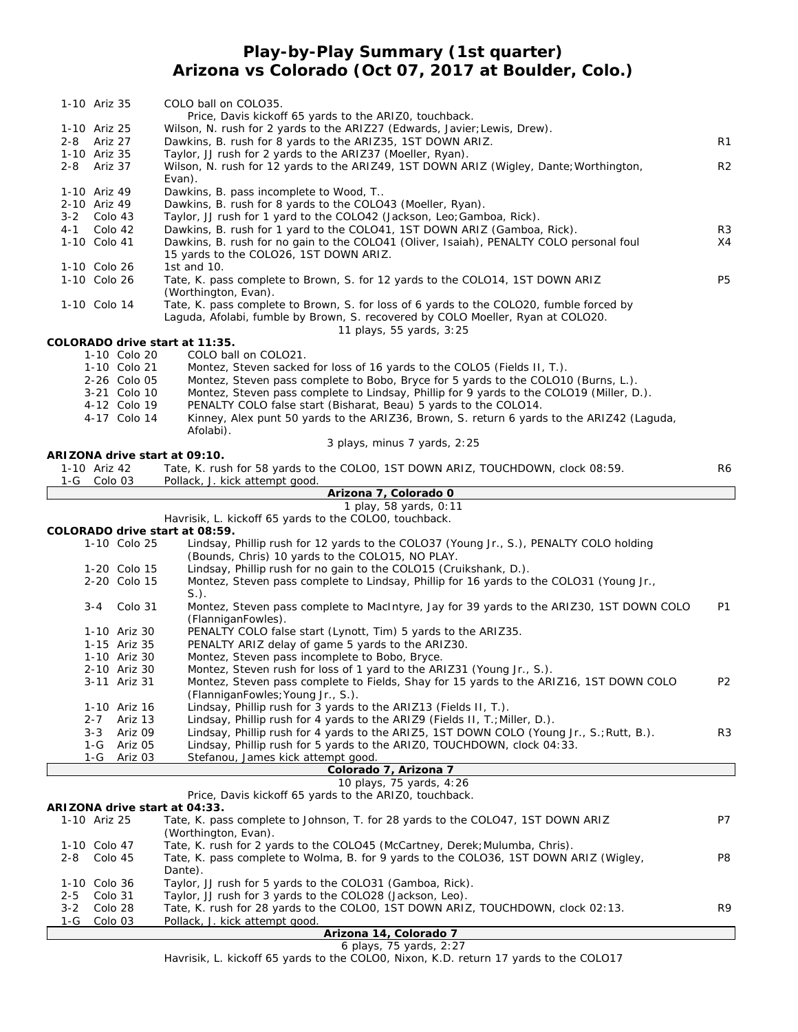## **Play-by-Play Summary (1st quarter) Arizona vs Colorado (Oct 07, 2017 at Boulder, Colo.)**

|                             | 1-10 Ariz 35       |                              | COLO ball on COLO35.                                                                                                                                                                                   |                |
|-----------------------------|--------------------|------------------------------|--------------------------------------------------------------------------------------------------------------------------------------------------------------------------------------------------------|----------------|
|                             |                    |                              | Price, Davis kickoff 65 yards to the ARIZO, touchback.                                                                                                                                                 |                |
| 1-10 Ariz 25                |                    |                              | Wilson, N. rush for 2 yards to the ARIZ27 (Edwards, Javier; Lewis, Drew).                                                                                                                              | R1             |
| 2-8 Ariz 27<br>1-10 Ariz 35 |                    |                              | Dawkins, B. rush for 8 yards to the ARIZ35, 1ST DOWN ARIZ.<br>Taylor, JJ rush for 2 yards to the ARIZ37 (Moeller, Ryan).                                                                               |                |
| 2-8 Ariz 37                 |                    |                              | Wilson, N. rush for 12 yards to the ARIZ49, 1ST DOWN ARIZ (Wigley, Dante; Worthington,                                                                                                                 | R <sub>2</sub> |
|                             |                    |                              | Evan).                                                                                                                                                                                                 |                |
| 1-10 Ariz 49                |                    |                              | Dawkins, B. pass incomplete to Wood, T                                                                                                                                                                 |                |
| 2-10 Ariz 49                |                    |                              | Dawkins, B. rush for 8 yards to the COLO43 (Moeller, Ryan).                                                                                                                                            |                |
| 3-2 Colo 43                 |                    |                              | Taylor, JJ rush for 1 yard to the COLO42 (Jackson, Leo; Gamboa, Rick).                                                                                                                                 |                |
| $4 - 1$<br>1-10 Colo 41     | Colo 42            |                              | Dawkins, B. rush for 1 yard to the COLO41, 1ST DOWN ARIZ (Gamboa, Rick).<br>Dawkins, B. rush for no gain to the COLO41 (Oliver, Isaiah), PENALTY COLO personal foul                                    | R3<br>X4       |
|                             |                    |                              | 15 yards to the COLO26, 1ST DOWN ARIZ.                                                                                                                                                                 |                |
| 1-10 Colo 26                |                    |                              | 1st and 10.                                                                                                                                                                                            |                |
| 1-10 Colo 26                |                    |                              | Tate, K. pass complete to Brown, S. for 12 yards to the COLO14, 1ST DOWN ARIZ                                                                                                                          | P5             |
|                             |                    |                              | (Worthington, Evan).                                                                                                                                                                                   |                |
| 1-10 Colo 14                |                    |                              | Tate, K. pass complete to Brown, S. for loss of 6 yards to the COLO20, fumble forced by<br>Laguda, Afolabi, fumble by Brown, S. recovered by COLO Moeller, Ryan at COLO20.<br>11 plays, 55 yards, 3:25 |                |
|                             |                    |                              | COLORADO drive start at 11:35.                                                                                                                                                                         |                |
|                             |                    | 1-10 Colo 20                 | COLO ball on COLO21.                                                                                                                                                                                   |                |
|                             |                    | 1-10 Colo 21                 | Montez, Steven sacked for loss of 16 yards to the COLO5 (Fields II, T.).                                                                                                                               |                |
|                             |                    | 2-26 Colo 05                 | Montez, Steven pass complete to Bobo, Bryce for 5 yards to the COLO10 (Burns, L.).                                                                                                                     |                |
|                             |                    | 3-21 Colo 10                 | Montez, Steven pass complete to Lindsay, Phillip for 9 yards to the COLO19 (Miller, D.).                                                                                                               |                |
|                             |                    | 4-12 Colo 19                 | PENALTY COLO false start (Bisharat, Beau) 5 yards to the COLO14.                                                                                                                                       |                |
|                             |                    | 4-17 Colo 14                 | Kinney, Alex punt 50 yards to the ARIZ36, Brown, S. return 6 yards to the ARIZ42 (Laguda,                                                                                                              |                |
|                             |                    |                              | Afolabi).<br>3 plays, minus 7 yards, 2:25                                                                                                                                                              |                |
|                             |                    |                              | ARIZONA drive start at 09:10.                                                                                                                                                                          |                |
| 1-10 Ariz 42                |                    |                              | Tate, K. rush for 58 yards to the COLOO, 1ST DOWN ARIZ, TOUCHDOWN, clock 08:59.                                                                                                                        | R6             |
| 1-G Colo 03                 |                    |                              | Pollack, J. kick attempt good.                                                                                                                                                                         |                |
|                             |                    |                              | Arizona 7, Colorado 0                                                                                                                                                                                  |                |
|                             |                    |                              | 1 play, 58 yards, 0:11<br>Havrisik, L. kickoff 65 yards to the COLOO, touchback.                                                                                                                       |                |
|                             |                    |                              | COLORADO drive start at 08:59.                                                                                                                                                                         |                |
|                             |                    |                              |                                                                                                                                                                                                        |                |
|                             |                    |                              |                                                                                                                                                                                                        |                |
|                             |                    | 1-10 Colo 25                 | Lindsay, Phillip rush for 12 yards to the COLO37 (Young Jr., S.), PENALTY COLO holding<br>(Bounds, Chris) 10 yards to the COLO15, NO PLAY.                                                             |                |
|                             |                    | 1-20 Colo 15                 | Lindsay, Phillip rush for no gain to the COLO15 (Cruikshank, D.).                                                                                                                                      |                |
|                             |                    | 2-20 Colo 15                 | Montez, Steven pass complete to Lindsay, Phillip for 16 yards to the COLO31 (Young Jr.,                                                                                                                |                |
|                             |                    |                              | $S.$ ).                                                                                                                                                                                                |                |
|                             | $3 - 4$            | Colo 31                      | Montez, Steven pass complete to MacIntyre, Jay for 39 yards to the ARIZ30, 1ST DOWN COLO                                                                                                               | P1             |
|                             |                    |                              | (FlanniganFowles).                                                                                                                                                                                     |                |
|                             |                    | 1-10 Ariz 30                 | PENALTY COLO false start (Lynott, Tim) 5 yards to the ARIZ35.                                                                                                                                          |                |
|                             |                    | 1-15 Ariz 35                 | PENALTY ARIZ delay of game 5 yards to the ARIZ30.                                                                                                                                                      |                |
|                             |                    | 1-10 Ariz 30<br>2-10 Ariz 30 | Montez, Steven pass incomplete to Bobo, Bryce.<br>Montez, Steven rush for loss of 1 yard to the ARIZ31 (Young Jr., S.).                                                                                |                |
|                             |                    | 3-11 Ariz 31                 | Montez, Steven pass complete to Fields, Shay for 15 yards to the ARIZ16, 1ST DOWN COLO                                                                                                                 | P2             |
|                             |                    |                              | (FlanniganFowles; Young Jr., S.).                                                                                                                                                                      |                |
|                             |                    | 1-10 Ariz 16                 | Lindsay, Phillip rush for 3 yards to the ARIZ13 (Fields II, T.).                                                                                                                                       |                |
|                             | $2 - 7$            | Ariz 13                      | Lindsay, Phillip rush for 4 yards to the ARIZ9 (Fields II, T.; Miller, D.).                                                                                                                            |                |
|                             | $3 - 3$            | Ariz 09                      | Lindsay, Phillip rush for 4 yards to the ARIZ5, 1ST DOWN COLO (Young Jr., S.; Rutt, B.).                                                                                                               | R <sub>3</sub> |
|                             | 1-G                | Ariz 05                      | Lindsay, Phillip rush for 5 yards to the ARIZO, TOUCHDOWN, clock 04:33.                                                                                                                                |                |
|                             | 1-G                | Ariz 03                      | Stefanou, James kick attempt good.                                                                                                                                                                     |                |
|                             |                    |                              | Colorado 7, Arizona 7<br>10 plays, 75 yards, 4:26                                                                                                                                                      |                |
|                             |                    |                              | Price, Davis kickoff 65 yards to the ARIZO, touchback.                                                                                                                                                 |                |
|                             |                    |                              | ARIZONA drive start at 04:33.                                                                                                                                                                          |                |
| 1-10 Ariz 25                |                    |                              | Tate, K. pass complete to Johnson, T. for 28 yards to the COLO47, 1ST DOWN ARIZ                                                                                                                        | P7             |
|                             |                    |                              | (Worthington, Evan).                                                                                                                                                                                   |                |
| 1-10 Colo 47                |                    |                              | Tate, K. rush for 2 yards to the COLO45 (McCartney, Derek; Mulumba, Chris).                                                                                                                            |                |
| $2 - 8$                     | Colo 45            |                              | Tate, K. pass complete to Wolma, B. for 9 yards to the COLO36, 1ST DOWN ARIZ (Wigley,                                                                                                                  | P8             |
| 1-10 Colo 36                |                    |                              | Dante).<br>Taylor, JJ rush for 5 yards to the COLO31 (Gamboa, Rick).                                                                                                                                   |                |
| $2 - 5$                     | Colo 31            |                              | Taylor, JJ rush for 3 yards to the COLO28 (Jackson, Leo).                                                                                                                                              |                |
| $3 - 2$<br>1-G              | Colo 28<br>Colo 03 |                              | Tate, K. rush for 28 yards to the COLOO, 1ST DOWN ARIZ, TOUCHDOWN, clock 02:13.<br>Pollack, J. kick attempt good.                                                                                      | R9             |

**Arizona 14, Colorado 7** *6 plays, 75 yards, 2:27*

H

Havrisik, L. kickoff 65 yards to the COLO0, Nixon, K.D. return 17 yards to the COLO17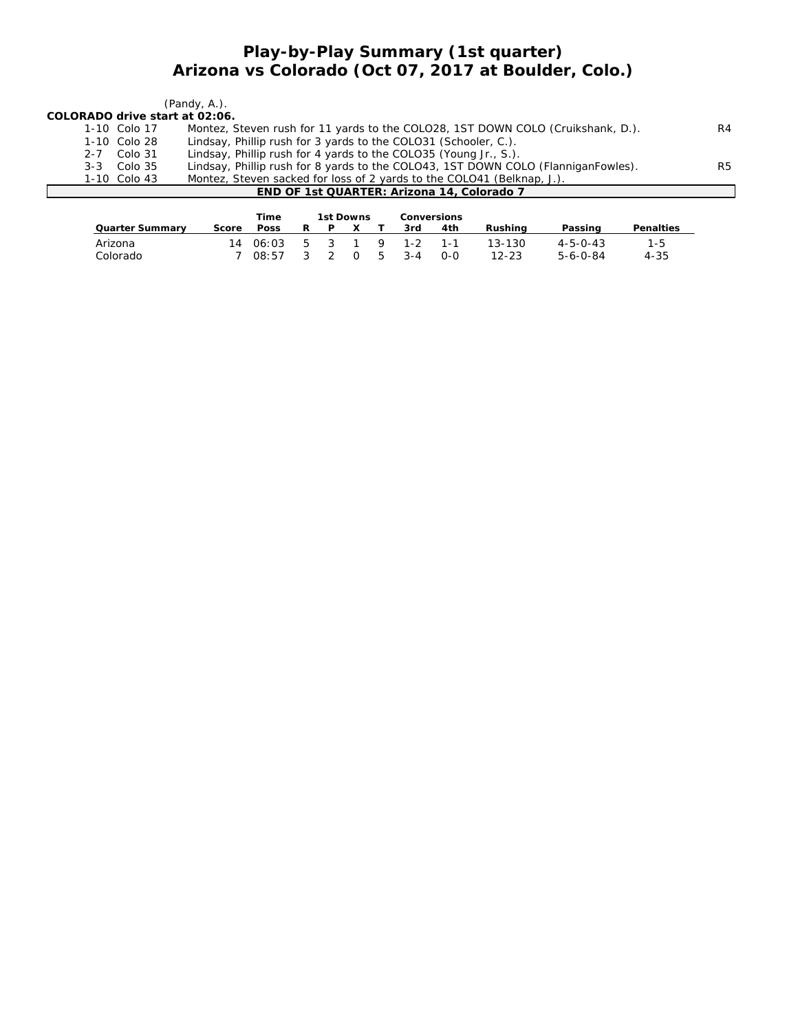## **Play-by-Play Summary (1st quarter) Arizona vs Colorado (Oct 07, 2017 at Boulder, Colo.)**

|                                |                 | $($ Pandy, A. $)$ .                                                               |    |
|--------------------------------|-----------------|-----------------------------------------------------------------------------------|----|
| COLORADO drive start at 02:06. |                 |                                                                                   |    |
|                                | 1-10 Colo 17    | Montez, Steven rush for 11 yards to the COLO28, 1ST DOWN COLO (Cruikshank, D.).   | R4 |
|                                | $1-10$ Colo 28  | Lindsay, Phillip rush for 3 yards to the COLO31 (Schooler, C.).                   |    |
|                                | 2-7 Colo 31     | Lindsay, Phillip rush for 4 yards to the COLO35 (Young Jr., S.).                  |    |
|                                | $3-3$ Colo $35$ | Lindsay, Phillip rush for 8 yards to the COLO43, 1ST DOWN COLO (FlanniganFowles). | R5 |
|                                | 1-10 Colo 43    | Montez, Steven sacked for loss of 2 yards to the COLO41 (Belknap, J.).            |    |
|                                |                 | END OF 1st QUARTER: Arizona 14, Colorado 7                                        |    |

|                        |       | Time  |    | 1st Downs |          |     |         | Conversions |           |                  |                  |
|------------------------|-------|-------|----|-----------|----------|-----|---------|-------------|-----------|------------------|------------------|
| <b>Quarter Summary</b> | Score | Poss  |    |           |          |     | 3rd     | 4th         | Rushina   | Passing          | <b>Penalties</b> |
| Arizona                | 14    | 06:03 | .5 |           |          | - 9 | $1 - 2$ | 1-1         | 13-130    | $4 - 5 - 0 - 43$ | 1-5              |
| Colorado               |       | 08.57 |    |           | $\Omega$ | -5  | $3 - 4$ | $O-O$       | $12 - 23$ | $5 - 6 - 0 - 84$ | $4 - 35$         |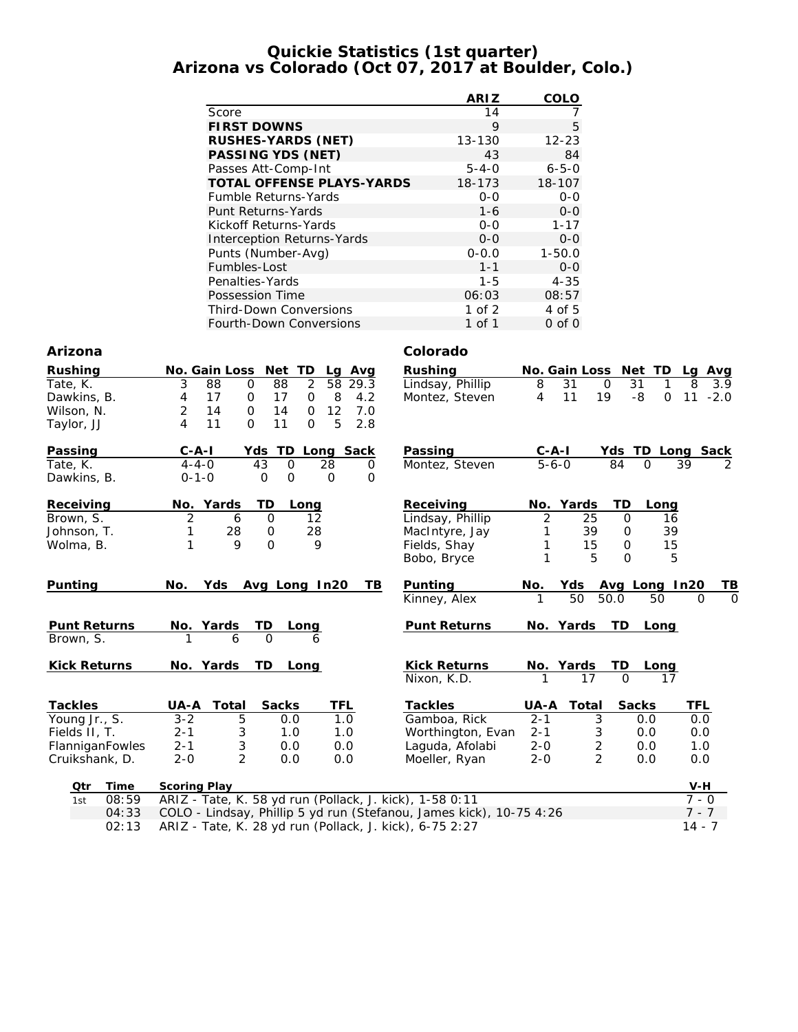#### **Quickie Statistics (1st quarter) Arizona vs Colorado (Oct 07, 2017 at Boulder, Colo.)**

|                                   | <b>ARIZ</b> | <b>COLO</b> |
|-----------------------------------|-------------|-------------|
| Score                             | 14          | 7           |
| <b>FIRST DOWNS</b>                | 9           | 5           |
| <b>RUSHES-YARDS (NET)</b>         | $13 - 130$  | $12 - 23$   |
| <b>PASSING YDS (NET)</b>          | 43          | 84          |
| Passes Att-Comp-Int               | $5 - 4 - 0$ | $6 - 5 - 0$ |
| <b>TOTAL OFFENSE PLAYS-YARDS</b>  | 18-173      | 18-107      |
| Fumble Returns-Yards              | $0 - 0$     | $0 - 0$     |
| <b>Punt Returns-Yards</b>         | $1 - 6$     | $0 - 0$     |
| Kickoff Returns-Yards             | $0 - 0$     | $1 - 17$    |
| <b>Interception Returns-Yards</b> | $0 - 0$     | $0 - 0$     |
| Punts (Number-Avg)                | $0 - 0.0$   | $1 - 50.0$  |
| Fumbles-Lost                      | $1 - 1$     | $0 - 0$     |
| Penalties-Yards                   | 1-5         | $4 - 35$    |
| Possession Time                   | 06:03       | 08:57       |
| <b>Third-Down Conversions</b>     | 1 of $2$    | 4 of 5      |
| <b>Fourth-Down Conversions</b>    | 1 of 1      | $0$ of $0$  |

#### **Arizona Colorado**

| Rushing             | No. Gain Loss<br>Net<br>TD<br>Lg Avg                                | <b>Rushing</b>           |                        | No. Gain Loss  | Net TD            | Lg Avg               |
|---------------------|---------------------------------------------------------------------|--------------------------|------------------------|----------------|-------------------|----------------------|
| Tate, K.            | $\overline{2}$<br>88<br>88<br>58<br>3<br>$\mathbf 0$                | Lindsay, Phillip<br>29.3 | 8                      | 31             | 31<br>$\mathbf 0$ | 8<br>3.9             |
| Dawkins, B.         | 17<br>8<br>4<br>0<br>17<br>0                                        | 4.2<br>Montez, Steven    | 4                      | 11<br>19       | -8<br>$\mathbf 0$ | 11<br>$-2.0$         |
| Wilson, N.          | 2<br>14<br>$\mathbf 0$<br>14<br>12<br>$\mathbf 0$                   | 7.0                      |                        |                |                   |                      |
| Taylor, JJ          | 11<br>$\Omega$<br>$\mathsf{O}$<br>5<br>4<br>11                      | 2.8                      |                        |                |                   |                      |
| Passing             | $C - A - I$<br>TD Long Sack<br>Yds                                  | Passing                  | $C - A - I$            |                | Yds TD Long Sack  |                      |
| Tate, K.            | $4 - 4 - 0$<br>43<br>$\mathbf 0$<br>28                              | Montez, Steven<br>0      | $\overline{5} - 6 - 0$ |                | 84<br>$\Omega$    | 39<br>2              |
| Dawkins, B.         | $0 - 1 - 0$<br>O<br>O<br>$\mathbf 0$                                | 0                        |                        |                |                   |                      |
| Receiving           | No. Yards<br>TD<br>Long                                             | Receiving                |                        | No. Yards      | TD<br>Long        |                      |
| Brown, S.           | $\overline{2}$<br>$\mathbf 0$<br>12<br>6                            | Lindsay, Phillip         | 2                      | 25             | $\mathbf 0$<br>16 |                      |
| Johnson, T.         | 28<br>1<br>28<br>0                                                  | MacIntyre, Jay           | 1                      | 39             | 39<br>0           |                      |
| Wolma, B.           | 9<br>$\Omega$<br>9<br>1                                             | Fields, Shay             |                        | 15             | 15<br>$\mathbf 0$ |                      |
|                     |                                                                     | Bobo, Bryce              | 1                      | 5              | 5<br>$\Omega$     |                      |
| Punting             | Yds<br>Avg Long In20<br>No.                                         | Punting<br>TВ            | No.                    | Yds            | Avg Long In20     | TВ                   |
|                     |                                                                     | Kinney, Alex             | 1                      | 50             | 50.0<br>50        | $\Omega$<br>$\Omega$ |
| <b>Punt Returns</b> | No. Yards<br>TD.<br>Long                                            | <b>Punt Returns</b>      |                        | No. Yards      | TD.<br>Long       |                      |
| Brown, S.           | $\Omega$<br>6<br>6                                                  |                          |                        |                |                   |                      |
| <b>Kick Returns</b> | No. Yards<br>TD<br>Long                                             | <b>Kick Returns</b>      |                        | No. Yards      | TD<br>Long        |                      |
|                     |                                                                     | Nixon, K.D.              | 1                      | 17             | $\Omega$<br>17    |                      |
| <b>Tackles</b>      | <b>UA-A Total</b><br><b>Sacks</b><br>TFL                            | <b>Tackles</b>           | UA-A                   | Total          | <b>Sacks</b>      | <b>TFL</b>           |
| Young Jr., S.       | 1.0<br>$3 - 2$<br>5<br>0.0                                          | Gamboa, Rick             | $2 - 1$                | 3              | 0.0               | 0.0                  |
| Fields II, T.       | 3<br>1.0<br>$2 - 1$<br>1.0                                          | Worthington, Evan        | $2 - 1$                | 3              | 0.0               | 0.0                  |
| FlanniganFowles     | 3<br>$2 - 1$<br>0.0<br>0.0                                          | Laguda, Afolabi          | $2 - 0$                | $\overline{c}$ | 0.0               | 1.0                  |
| Cruikshank, D.      | $\overline{2}$<br>$2 - 0$<br>0.0<br>0.0                             | Moeller, Ryan            | $2 - 0$                | $\overline{2}$ | 0.0               | 0.0                  |
| <b>Time</b><br>Qtr  | <b>Scoring Play</b>                                                 |                          |                        |                |                   | V-H                  |
| 08:59<br>1st        | ARIZ - Tate, K. 58 yd run (Pollack, J. kick), 1-58 0:11             |                          |                        |                |                   | $7 - 0$              |
| 04:33               | COLO - Lindsay, Phillip 5 yd run (Stefanou, James kick), 10-75 4:26 |                          |                        |                |                   | $7 - 7$              |
| 02:13               | ARIZ - Tate, K. 28 yd run (Pollack, J. kick), 6-75 2:27             |                          |                        |                |                   | $14 - 7$             |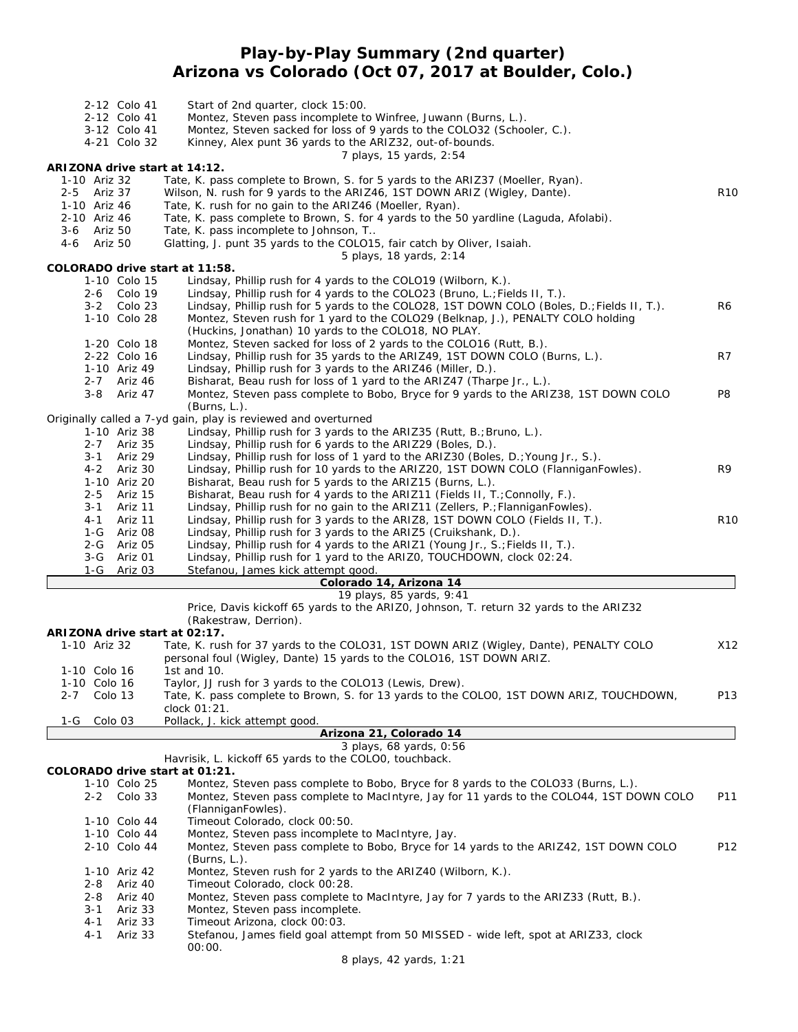## **Play-by-Play Summary (2nd quarter) Arizona vs Colorado (Oct 07, 2017 at Boulder, Colo.)**

|         |                             | 2-12 Colo 41<br>2-12 Colo 41<br>3-12 Colo 41<br>4-21 Colo 32 | Start of 2nd quarter, clock 15:00.<br>Montez, Steven pass incomplete to Winfree, Juwann (Burns, L.).<br>Montez, Steven sacked for loss of 9 yards to the COLO32 (Schooler, C.).<br>Kinney, Alex punt 36 yards to the ARIZ32, out-of-bounds.<br>7 plays, 15 yards, 2:54 |                 |
|---------|-----------------------------|--------------------------------------------------------------|------------------------------------------------------------------------------------------------------------------------------------------------------------------------------------------------------------------------------------------------------------------------|-----------------|
|         |                             |                                                              | ARIZONA drive start at 14:12.                                                                                                                                                                                                                                          |                 |
|         | 1-10 Ariz 32                |                                                              | Tate, K. pass complete to Brown, S. for 5 yards to the ARIZ37 (Moeller, Ryan).                                                                                                                                                                                         |                 |
|         | 2-5 Ariz 37                 |                                                              | Wilson, N. rush for 9 yards to the ARIZ46, 1ST DOWN ARIZ (Wigley, Dante).                                                                                                                                                                                              | R <sub>10</sub> |
|         | 1-10 Ariz 46                |                                                              | Tate, K. rush for no gain to the ARIZ46 (Moeller, Ryan).                                                                                                                                                                                                               |                 |
|         | 2-10 Ariz 46<br>3-6 Ariz 50 |                                                              | Tate, K. pass complete to Brown, S. for 4 yards to the 50 yardline (Laguda, Afolabi).                                                                                                                                                                                  |                 |
|         |                             |                                                              | Tate, K. pass incomplete to Johnson, T<br>Glatting, J. punt 35 yards to the COLO15, fair catch by Oliver, Isaiah.                                                                                                                                                      |                 |
|         | 4-6 Ariz 50                 |                                                              | 5 plays, 18 yards, 2:14                                                                                                                                                                                                                                                |                 |
|         |                             |                                                              | COLORADO drive start at 11:58.                                                                                                                                                                                                                                         |                 |
|         |                             | 1-10 Colo 15                                                 | Lindsay, Phillip rush for 4 yards to the COLO19 (Wilborn, K.).                                                                                                                                                                                                         |                 |
|         |                             | 2-6 Colo 19                                                  | Lindsay, Phillip rush for 4 yards to the COLO23 (Bruno, L.; Fields II, T.).                                                                                                                                                                                            |                 |
|         |                             | 3-2 Colo 23                                                  | Lindsay, Phillip rush for 5 yards to the COLO28, 1ST DOWN COLO (Boles, D.; Fields II, T.).                                                                                                                                                                             | R6              |
|         |                             | 1-10 Colo 28                                                 | Montez, Steven rush for 1 yard to the COLO29 (Belknap, J.), PENALTY COLO holding                                                                                                                                                                                       |                 |
|         |                             |                                                              | (Huckins, Jonathan) 10 yards to the COLO18, NO PLAY.                                                                                                                                                                                                                   |                 |
|         |                             | 1-20 Colo 18                                                 | Montez, Steven sacked for loss of 2 yards to the COLO16 (Rutt, B.).                                                                                                                                                                                                    |                 |
|         |                             | 2-22 Colo 16                                                 | Lindsay, Phillip rush for 35 yards to the ARIZ49, 1ST DOWN COLO (Burns, L.).                                                                                                                                                                                           | R7              |
|         |                             | 1-10 Ariz 49                                                 | Lindsay, Phillip rush for 3 yards to the ARIZ46 (Miller, D.).                                                                                                                                                                                                          |                 |
|         |                             | 2-7 Ariz 46                                                  | Bisharat, Beau rush for loss of 1 yard to the ARIZ47 (Tharpe Jr., L.).                                                                                                                                                                                                 |                 |
|         |                             | 3-8 Ariz 47                                                  | Montez, Steven pass complete to Bobo, Bryce for 9 yards to the ARIZ38, 1ST DOWN COLO                                                                                                                                                                                   | P8              |
|         |                             |                                                              | (Burns, L.).                                                                                                                                                                                                                                                           |                 |
|         |                             |                                                              | Originally called a 7-yd gain, play is reviewed and overturned                                                                                                                                                                                                         |                 |
|         |                             | 1-10 Ariz 38                                                 | Lindsay, Phillip rush for 3 yards to the ARIZ35 (Rutt, B.; Bruno, L.).                                                                                                                                                                                                 |                 |
|         |                             | 2-7 Ariz 35                                                  | Lindsay, Phillip rush for 6 yards to the ARIZ29 (Boles, D.).                                                                                                                                                                                                           |                 |
|         | $3 - 1$                     | Ariz 29                                                      | Lindsay, Phillip rush for loss of 1 yard to the ARIZ30 (Boles, D.; Young Jr., S.).                                                                                                                                                                                     |                 |
|         |                             | 4-2 Ariz 30                                                  | Lindsay, Phillip rush for 10 yards to the ARIZ20, 1ST DOWN COLO (FlanniganFowles).                                                                                                                                                                                     | R9              |
|         |                             | 1-10 Ariz 20                                                 | Bisharat, Beau rush for 5 yards to the ARIZ15 (Burns, L.).                                                                                                                                                                                                             |                 |
|         | $2 - 5$                     | Ariz 15                                                      | Bisharat, Beau rush for 4 yards to the ARIZ11 (Fields II, T.; Connolly, F.).                                                                                                                                                                                           |                 |
|         | $3 - 1$                     | Ariz 11                                                      | Lindsay, Phillip rush for no gain to the ARIZ11 (Zellers, P.; FlanniganFowles).                                                                                                                                                                                        |                 |
|         | $4 - 1$                     | Ariz 11                                                      | Lindsay, Phillip rush for 3 yards to the ARIZ8, 1ST DOWN COLO (Fields II, T.).                                                                                                                                                                                         | R <sub>10</sub> |
|         |                             | 1-G Ariz 08                                                  | Lindsay, Phillip rush for 3 yards to the ARIZ5 (Cruikshank, D.).                                                                                                                                                                                                       |                 |
|         |                             | 2-G Ariz 05                                                  | Lindsay, Phillip rush for 4 yards to the ARIZ1 (Young Jr., S.; Fields II, T.).                                                                                                                                                                                         |                 |
|         | 3-G                         | Ariz 01                                                      | Lindsay, Phillip rush for 1 yard to the ARIZO, TOUCHDOWN, clock 02:24.                                                                                                                                                                                                 |                 |
|         | $1-G$                       | Ariz 03                                                      | Stefanou, James kick attempt good.                                                                                                                                                                                                                                     |                 |
|         |                             |                                                              | Colorado 14, Arizona 14                                                                                                                                                                                                                                                |                 |
|         |                             |                                                              | 19 plays, 85 yards, 9:41                                                                                                                                                                                                                                               |                 |
|         |                             |                                                              | Price, Davis kickoff 65 yards to the ARIZO, Johnson, T. return 32 yards to the ARIZ32                                                                                                                                                                                  |                 |
|         |                             |                                                              | (Rakestraw, Derrion).                                                                                                                                                                                                                                                  |                 |
|         |                             |                                                              | ARIZONA drive start at 02:17.                                                                                                                                                                                                                                          |                 |
|         | 1-10 Ariz 32                |                                                              | Tate, K. rush for 37 yards to the COLO31, 1ST DOWN ARIZ (Wigley, Dante), PENALTY COLO                                                                                                                                                                                  | X12             |
|         |                             |                                                              | personal foul (Wigley, Dante) 15 yards to the COLO16, 1ST DOWN ARIZ.                                                                                                                                                                                                   |                 |
|         | 1-10 Colo 16                |                                                              | 1st and $10.$                                                                                                                                                                                                                                                          |                 |
|         | 1-10 Colo 16                |                                                              | Taylor, JJ rush for 3 yards to the COLO13 (Lewis, Drew).                                                                                                                                                                                                               |                 |
| $2 - 7$ |                             | Colo 13                                                      | Tate, K. pass complete to Brown, S. for 13 yards to the COLOO, 1ST DOWN ARIZ, TOUCHDOWN,                                                                                                                                                                               | P13             |
|         |                             |                                                              | clock 01:21.                                                                                                                                                                                                                                                           |                 |
| 1-G     |                             | Colo 03                                                      | Pollack, J. kick attempt good.                                                                                                                                                                                                                                         |                 |
|         |                             |                                                              | Arizona 21, Colorado 14                                                                                                                                                                                                                                                |                 |
|         |                             |                                                              | 3 plays, 68 yards, 0:56                                                                                                                                                                                                                                                |                 |
|         |                             |                                                              | Havrisik, L. kickoff 65 yards to the COLOO, touchback.                                                                                                                                                                                                                 |                 |
|         |                             |                                                              | COLORADO drive start at 01:21.                                                                                                                                                                                                                                         |                 |
|         |                             | 1-10 Colo 25                                                 | Montez, Steven pass complete to Bobo, Bryce for 8 yards to the COLO33 (Burns, L.).                                                                                                                                                                                     |                 |
|         | $2 - 2$                     | Colo 33                                                      | Montez, Steven pass complete to MacIntyre, Jay for 11 yards to the COLO44, 1ST DOWN COLO                                                                                                                                                                               | P11             |
|         |                             |                                                              | (FlanniganFowles).                                                                                                                                                                                                                                                     |                 |
|         |                             | 1-10 Colo 44                                                 | Timeout Colorado, clock 00:50.                                                                                                                                                                                                                                         |                 |
|         |                             | 1-10 Colo 44                                                 | Montez, Steven pass incomplete to MacIntyre, Jay.                                                                                                                                                                                                                      |                 |
|         |                             | 2-10 Colo 44                                                 | Montez, Steven pass complete to Bobo, Bryce for 14 yards to the ARIZ42, 1ST DOWN COLO                                                                                                                                                                                  | P12             |
|         |                             |                                                              | (Burns, L.).                                                                                                                                                                                                                                                           |                 |
|         |                             | 1-10 Ariz 42                                                 | Montez, Steven rush for 2 yards to the ARIZ40 (Wilborn, K.).                                                                                                                                                                                                           |                 |
|         | 2-8                         | Ariz 40                                                      | Timeout Colorado, clock 00:28.                                                                                                                                                                                                                                         |                 |
|         | 2-8                         | Ariz 40                                                      | Montez, Steven pass complete to MacIntyre, Jay for 7 yards to the ARIZ33 (Rutt, B.).                                                                                                                                                                                   |                 |
|         | $3 - 1$                     | Ariz 33                                                      | Montez, Steven pass incomplete.                                                                                                                                                                                                                                        |                 |
|         | 4-1                         | Ariz 33                                                      | Timeout Arizona, clock 00:03.                                                                                                                                                                                                                                          |                 |
|         | 4-1                         | Ariz 33                                                      | Stefanou, James field goal attempt from 50 MISSED - wide left, spot at ARIZ33, clock                                                                                                                                                                                   |                 |
|         |                             |                                                              | 00:00.                                                                                                                                                                                                                                                                 |                 |

*8 plays, 42 yards, 1:21*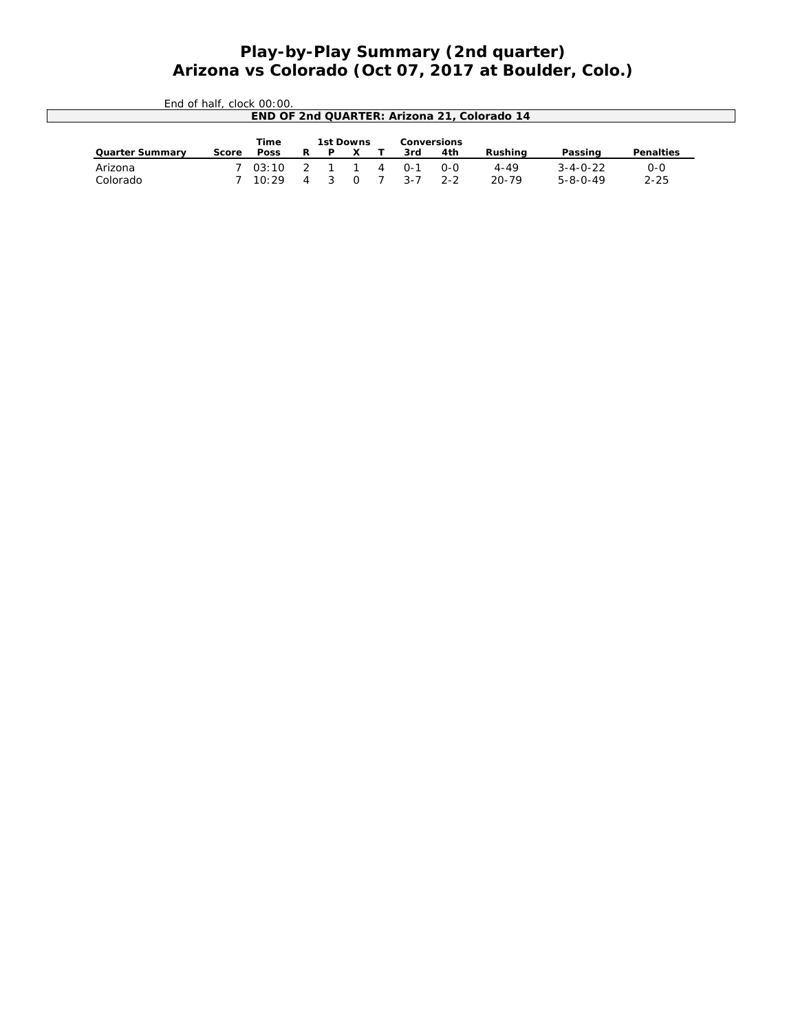# *Play-by-Play Summary (2nd quarter) Arizona vs Colorado (Oct 07, 2017 at Boulder, Colo.)*

|                                                | End of half, clock 00:00. |             |    |   |        |   |         |       |                                             |                  |                  |
|------------------------------------------------|---------------------------|-------------|----|---|--------|---|---------|-------|---------------------------------------------|------------------|------------------|
|                                                |                           |             |    |   |        |   |         |       | END OF 2nd QUARTER: Arizona 21, Colorado 14 |                  |                  |
| <b>Time</b><br>1st Downs<br><b>Conversions</b> |                           |             |    |   |        |   |         |       |                                             |                  |                  |
| <b>Quarter Summary</b>                         | Score                     | <b>Poss</b> | R. | P |        |   | 3rd     | 4th   | Rushina                                     | Passing          | <b>Penalties</b> |
| Arizona                                        |                           | 703:10      |    |   |        | 4 | $0 - 1$ | $O-O$ | 4-49                                        | $3 - 4 - 0 - 22$ | $O-O$            |
| Colorado                                       |                           | 10.29       | 4  |   | $\cap$ |   |         | 2-2   | $20 - 79$                                   | $5 - 8 - 0 - 49$ | $2 - 25$         |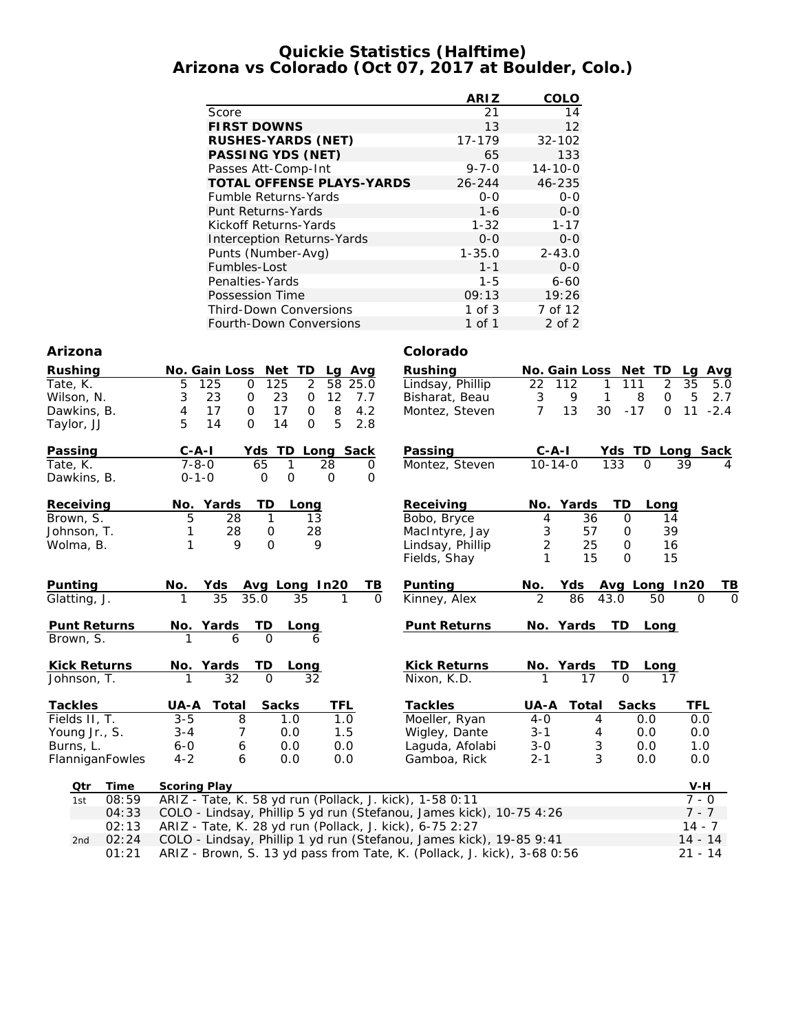#### **Quickie Statistics (Halftime) Arizona vs Colorado (Oct 07, 2017 at Boulder, Colo.)**

|                                   | <b>ARIZ</b> | COLO          |
|-----------------------------------|-------------|---------------|
| Score                             | 21          | 14            |
| <b>FIRST DOWNS</b>                | 13          | 12            |
| <b>RUSHES-YARDS (NET)</b>         | 17-179      | $32 - 102$    |
| <b>PASSING YDS (NET)</b>          | 65          | 133           |
| Passes Att-Comp-Int               | $9 - 7 - 0$ | $14 - 10 - 0$ |
| <b>TOTAL OFFENSE PLAYS-YARDS</b>  | $26 - 244$  | 46-235        |
| <b>Fumble Returns-Yards</b>       | $0 - 0$     | $0 - 0$       |
| Punt Returns-Yards                | $1 - 6$     | $0 - 0$       |
| Kickoff Returns-Yards             | $1 - 32$    | $1 - 17$      |
| <b>Interception Returns-Yards</b> | $0 - 0$     | $0 - 0$       |
| Punts (Number-Avg)                | $1 - 35.0$  | $2 - 43.0$    |
| Fumbles-Lost                      | $1 - 1$     | $0 - 0$       |
| Penalties-Yards                   | $1 - 5$     | $6 - 60$      |
| Possession Time                   | 09:13       | 19:26         |
| <b>Third-Down Conversions</b>     | $1$ of $3$  | 7 of 12       |
| <b>Fourth-Down Conversions</b>    | 1 of 1      | $2$ of $2$    |

#### **Arizona Colorado**

| <b>Rushing</b>      | No. Gain Loss Net TD      | Lg<br>Avg                                                           | <b>Rushing</b>      |                |            | No. Gain Loss Net TD  | Lg<br>Avg                     |
|---------------------|---------------------------|---------------------------------------------------------------------|---------------------|----------------|------------|-----------------------|-------------------------------|
| Tate, K.            | 5<br>125<br>$\mathbf 0$   | 2<br>125<br>58<br>25.0                                              | Lindsay, Phillip    | 22<br>112      | 1          | $\overline{2}$<br>111 | 35<br>5.0                     |
| Wilson, N.          | 23<br>3<br>0              | 23<br>12<br>0<br>7.7                                                | Bisharat, Beau      | 3              | 9<br>1     | 8<br>$\mathbf 0$      | 5<br>2.7                      |
| Dawkins, B.         | 17<br>$\mathsf{O}$<br>4   | 8<br>4.2<br>17<br>$\mathbf 0$                                       | Montez, Steven      | 7              | 13<br>30   | $-17$<br>$\mathbf 0$  | $-2.4$<br>11                  |
| Taylor, JJ          | 5<br>$\Omega$<br>14       | 5<br>14<br>2.8<br>$\mathbf 0$                                       |                     |                |            |                       |                               |
| <b>Passing</b>      | $C - A - I$<br>Yds        | TD Long Sack                                                        | Passing             | $C-A-I$        |            | Yds TD Long Sack      |                               |
| Tate, K.            | $7 - 8 - 0$               | 65<br>$\mathbf{1}$<br>28<br>$\Omega$                                | Montez, Steven      | $10 - 14 - 0$  | 133        | $\Omega$              | 39<br>4                       |
| Dawkins, B.         | $0 - 1 - 0$               | $\mathbf 0$<br>$\mathbf 0$<br>$\mathbf 0$<br>$\Omega$               |                     |                |            |                       |                               |
| Receiving           | No. Yards                 | TD<br>Long                                                          | Receiving           | No. Yards      |            | TD<br>Long            |                               |
| Brown, S.           | 5<br>28                   | 1<br>13                                                             | Bobo, Bryce         | 4              | 36         | $\mathbf 0$<br>14     |                               |
| Johnson, T.         | 28<br>1                   | 28<br>0                                                             | MacIntyre, Jay      | 3              | 57         | 39<br>0               |                               |
| Wolma, B.           | 9<br>1                    | $\Omega$<br>9                                                       | Lindsay, Phillip    | $\overline{2}$ | 25         | 16<br>$\mathbf 0$     |                               |
|                     |                           |                                                                     | Fields, Shay        | 1              | 15         | 15<br>$\Omega$        |                               |
| Punting             | No.<br>Yds                | Avg Long In20<br>TВ                                                 | Punting             | No.            | Yds        | Avg Long In20         | TВ                            |
| Glatting, J.        | 35<br>35.0                | 35<br>1<br>$\Omega$                                                 | Kinney, Alex        | $\overline{2}$ | 86<br>43.0 | 50                    | $\overline{0}$<br>$\mathbf 0$ |
| <b>Punt Returns</b> | No. Yards                 | TD<br>Long                                                          | <b>Punt Returns</b> | No. Yards      |            | TD<br>Long            |                               |
| Brown, S.           | 6                         | $\Omega$<br>6                                                       |                     |                |            |                       |                               |
| <b>Kick Returns</b> | No. Yards                 | TD<br>Long                                                          | <b>Kick Returns</b> | No. Yards      |            | TD<br>Long            |                               |
| Johnson, T.         | 32<br>1                   | 32<br>$\Omega$                                                      | Nixon, K.D.         | 1              | 17         | $\Omega$<br>17        |                               |
| <b>Tackles</b>      | Total<br>UA-A             | TFL<br><b>Sacks</b>                                                 | <b>Tackles</b>      | UA-A           | Total      | <b>Sacks</b>          | <b>TFL</b>                    |
| Fields II, T.       | $3 - 5$<br>$\overline{8}$ | 1.0<br>1.0                                                          | Moeller, Ryan       | $4-0$          | 4          | 0.0                   | 0.0                           |
| Young Jr., S.       | $3 - 4$<br>7              | 1.5<br>0.0                                                          | Wigley, Dante       | $3 - 1$        | 4          | 0.0                   | 0.0                           |
| Burns, L.           | 6<br>$6 - 0$              | 0.0<br>0.0                                                          | Laguda, Afolabi     | $3 - 0$        | 3          | 0.0                   | 1.0                           |
| FlanniganFowles     | $4 - 2$<br>6              | 0.0<br>0.0                                                          | Gamboa, Rick        | $2 - 1$        | 3          | 0.0                   | 0.0                           |
| Time<br>Otr         | <b>Scoring Play</b>       |                                                                     |                     |                |            |                       | $V-H$                         |
| 08:59<br>1st        |                           | ARIZ - Tate, K. 58 yd run (Pollack, J. kick), 1-58 0:11             |                     |                |            |                       | $7 - 0$                       |
| 04:33               |                           | COLO - Lindsay, Phillip 5 yd run (Stefanou, James kick), 10-75 4:26 |                     |                |            |                       | $7 - 7$                       |
| 02:13               |                           | ARIZ - Tate, K. 28 yd run (Pollack, J. kick), 6-75 2:27             |                     |                |            |                       | $14 - 7$                      |

2nd 02:24 COLO - Lindsay, Phillip 1 yd run (Stefanou, James kick), 19-85 9:41 14 - 14 01:21 ARIZ - Brown, S. 13 yd pass from Tate, K. (Pollack, J. kick), 3-68 0:56 21 - 14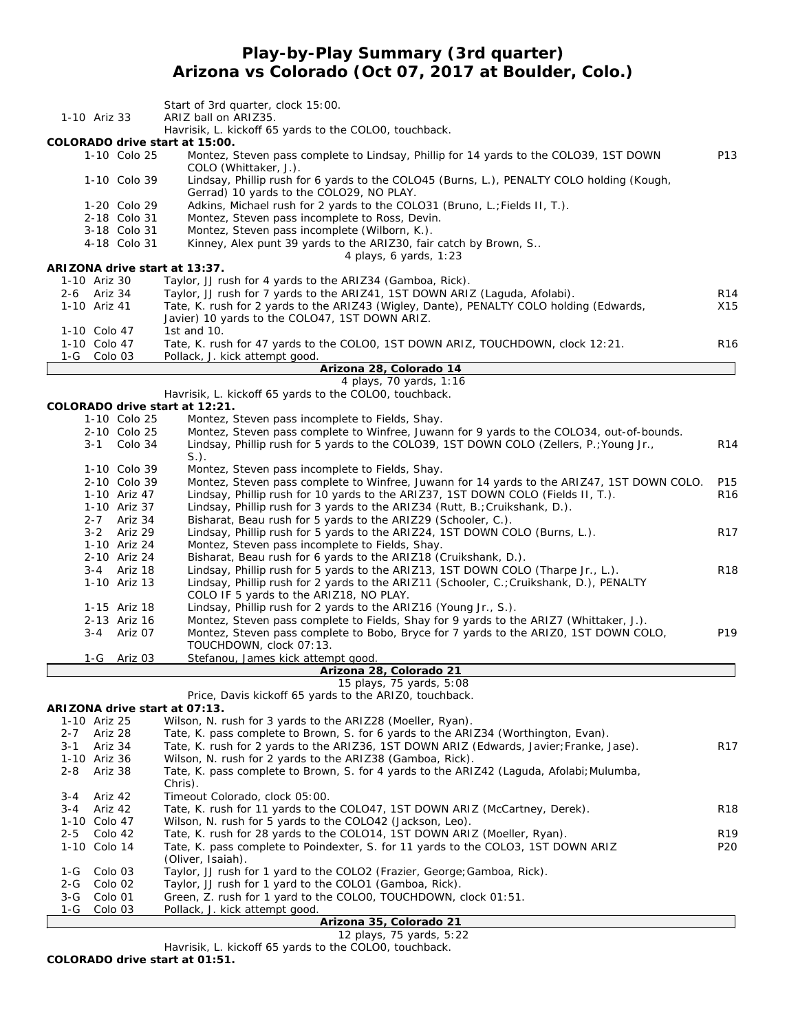# **Play-by-Play Summary (3rd quarter) Arizona vs Colorado (Oct 07, 2017 at Boulder, Colo.)**

|                                          | Start of 3rd quarter, clock 15:00.                                                                                                                                                   |                 |
|------------------------------------------|--------------------------------------------------------------------------------------------------------------------------------------------------------------------------------------|-----------------|
| 1-10 Ariz 33                             | ARIZ ball on ARIZ35.<br>Havrisik, L. kickoff 65 yards to the COLOO, touchback.                                                                                                       |                 |
| COLORADO drive start at 15:00.           |                                                                                                                                                                                      |                 |
| 1-10 Colo 25                             | Montez, Steven pass complete to Lindsay, Phillip for 14 yards to the COLO39, 1ST DOWN<br>COLO (Whittaker, J.).                                                                       | P13             |
| 1-10 Colo 39                             | Lindsay, Phillip rush for 6 yards to the COLO45 (Burns, L.), PENALTY COLO holding (Kough,                                                                                            |                 |
| 1-20 Colo 29                             | Gerrad) 10 yards to the COLO29, NO PLAY.<br>Adkins, Michael rush for 2 yards to the COLO31 (Bruno, L.; Fields II, T.).                                                               |                 |
| 2-18 Colo 31                             | Montez, Steven pass incomplete to Ross, Devin.                                                                                                                                       |                 |
| 3-18 Colo 31                             | Montez, Steven pass incomplete (Wilborn, K.).                                                                                                                                        |                 |
| 4-18 Colo 31                             | Kinney, Alex punt 39 yards to the ARIZ30, fair catch by Brown, S<br>4 plays, 6 yards, $1:23$                                                                                         |                 |
| ARIZONA drive start at 13:37.            |                                                                                                                                                                                      |                 |
| 1-10 Ariz 30                             | Taylor, JJ rush for 4 yards to the ARIZ34 (Gamboa, Rick).                                                                                                                            |                 |
| 2-6 Ariz 34                              | Taylor, JJ rush for 7 yards to the ARIZ41, 1ST DOWN ARIZ (Laguda, Afolabi).                                                                                                          | R <sub>14</sub> |
| 1-10 Ariz 41                             | Tate, K. rush for 2 yards to the ARIZ43 (Wigley, Dante), PENALTY COLO holding (Edwards,<br>Javier) 10 yards to the COLO47, 1ST DOWN ARIZ.                                            | X15             |
| 1-10 Colo 47                             | 1st and 10.                                                                                                                                                                          |                 |
| 1-10 Colo 47                             | Tate, K. rush for 47 yards to the COLOO, 1ST DOWN ARIZ, TOUCHDOWN, clock 12:21.                                                                                                      | R <sub>16</sub> |
| 1-G Colo 03                              | Pollack, J. kick attempt good.                                                                                                                                                       |                 |
|                                          | Arizona 28, Colorado 14<br>4 plays, 70 yards, 1:16                                                                                                                                   |                 |
|                                          | Havrisik, L. kickoff 65 yards to the COLOO, touchback.                                                                                                                               |                 |
| COLORADO drive start at 12:21.           |                                                                                                                                                                                      |                 |
| 1-10 Colo 25                             | Montez, Steven pass incomplete to Fields, Shay.                                                                                                                                      |                 |
| 2-10 Colo 25<br>3-1 Colo 34              | Montez, Steven pass complete to Winfree, Juwann for 9 yards to the COLO34, out-of-bounds.<br>Lindsay, Phillip rush for 5 yards to the COLO39, 1ST DOWN COLO (Zellers, P.; Young Jr., |                 |
|                                          | $S.$ ).                                                                                                                                                                              | R <sub>14</sub> |
| 1-10 Colo 39                             | Montez, Steven pass incomplete to Fields, Shay.                                                                                                                                      |                 |
| 2-10 Colo 39                             | Montez, Steven pass complete to Winfree, Juwann for 14 yards to the ARIZ47, 1ST DOWN COLO.                                                                                           | P15             |
| 1-10 Ariz 47                             | Lindsay, Phillip rush for 10 yards to the ARIZ37, 1ST DOWN COLO (Fields II, T.).                                                                                                     | R <sub>16</sub> |
| 1-10 Ariz 37<br>2-7 Ariz 34              | Lindsay, Phillip rush for 3 yards to the ARIZ34 (Rutt, B.; Cruikshank, D.).<br>Bisharat, Beau rush for 5 yards to the ARIZ29 (Schooler, C.).                                         |                 |
| 3-2 Ariz 29                              | Lindsay, Phillip rush for 5 yards to the ARIZ24, 1ST DOWN COLO (Burns, L.).                                                                                                          | R <sub>17</sub> |
| 1-10 Ariz 24                             | Montez, Steven pass incomplete to Fields, Shay.                                                                                                                                      |                 |
| 2-10 Ariz 24                             | Bisharat, Beau rush for 6 yards to the ARIZ18 (Cruikshank, D.).                                                                                                                      |                 |
| 3-4 Ariz 18                              | Lindsay, Phillip rush for 5 yards to the ARIZ13, 1ST DOWN COLO (Tharpe Jr., L.).                                                                                                     | R <sub>18</sub> |
| 1-10 Ariz 13                             | Lindsay, Phillip rush for 2 yards to the ARIZ11 (Schooler, C.; Cruikshank, D.), PENALTY<br>COLO IF 5 yards to the ARIZ18, NO PLAY.                                                   |                 |
| 1-15 Ariz 18                             | Lindsay, Phillip rush for 2 yards to the ARIZ16 (Young Jr., S.).                                                                                                                     |                 |
| 2-13 Ariz 16                             | Montez, Steven pass complete to Fields, Shay for 9 yards to the ARIZ7 (Whittaker, J.).                                                                                               |                 |
| 3-4 Ariz 07                              | Montez, Steven pass complete to Bobo, Bryce for 7 yards to the ARIZO, 1ST DOWN COLO,                                                                                                 | P19             |
|                                          | TOUCHDOWN, clock 07:13.                                                                                                                                                              |                 |
| 1-G Ariz 03                              | Stefanou, James kick attempt good.<br>Arizona 28, Colorado 21                                                                                                                        |                 |
|                                          | 15 plays, 75 yards, 5:08                                                                                                                                                             |                 |
|                                          | Price, Davis kickoff 65 yards to the ARIZO, touchback.                                                                                                                               |                 |
| ARIZONA drive start at 07:13.            |                                                                                                                                                                                      |                 |
| 1-10 Ariz 25                             | Wilson, N. rush for 3 yards to the ARIZ28 (Moeller, Ryan).                                                                                                                           |                 |
| Ariz 28<br>$2 - 7$<br>Ariz 34<br>$3 - 1$ | Tate, K. pass complete to Brown, S. for 6 yards to the ARIZ34 (Worthington, Evan).<br>Tate, K. rush for 2 yards to the ARIZ36, 1ST DOWN ARIZ (Edwards, Javier; Franke, Jase).        | R <sub>17</sub> |
| 1-10 Ariz 36                             | Wilson, N. rush for 2 yards to the ARIZ38 (Gamboa, Rick).                                                                                                                            |                 |
| Ariz 38<br>$2 - 8$                       | Tate, K. pass complete to Brown, S. for 4 yards to the ARIZ42 (Laguda, Afolabi; Mulumba,                                                                                             |                 |
|                                          | Chris).                                                                                                                                                                              |                 |
| Ariz 42<br>$3 - 4$<br>3-4<br>Ariz 42     | Timeout Colorado, clock 05:00.<br>Tate, K. rush for 11 yards to the COLO47, 1ST DOWN ARIZ (McCartney, Derek).                                                                        | <b>R18</b>      |
| 1-10 Colo 47                             | Wilson, N. rush for 5 yards to the COLO42 (Jackson, Leo).                                                                                                                            |                 |
| $2 - 5$<br>Colo 42                       | Tate, K. rush for 28 yards to the COLO14, 1ST DOWN ARIZ (Moeller, Ryan).                                                                                                             | R <sub>19</sub> |
| 1-10 Colo 14                             | Tate, K. pass complete to Poindexter, S. for 11 yards to the COLO3, 1ST DOWN ARIZ                                                                                                    | P20             |
|                                          | (Oliver, Isaiah).                                                                                                                                                                    |                 |
| Colo 03<br>1-G<br>Colo 02<br>2-G         | Taylor, JJ rush for 1 yard to the COLO2 (Frazier, George; Gamboa, Rick).<br>Taylor, JJ rush for 1 yard to the COLO1 (Gamboa, Rick).                                                  |                 |
| Colo 01<br>$3-G$                         | Green, Z. rush for 1 yard to the COLOO, TOUCHDOWN, clock 01:51.                                                                                                                      |                 |
| Colo 03<br>1-G                           | Pollack, J. kick attempt good.                                                                                                                                                       |                 |
|                                          | Arizona 35, Colorado 21                                                                                                                                                              |                 |

*12 plays, 75 yards, 5:22* Havrisik, L. kickoff 65 yards to the COLO0, touchback. **COLORADO drive start at 01:51.**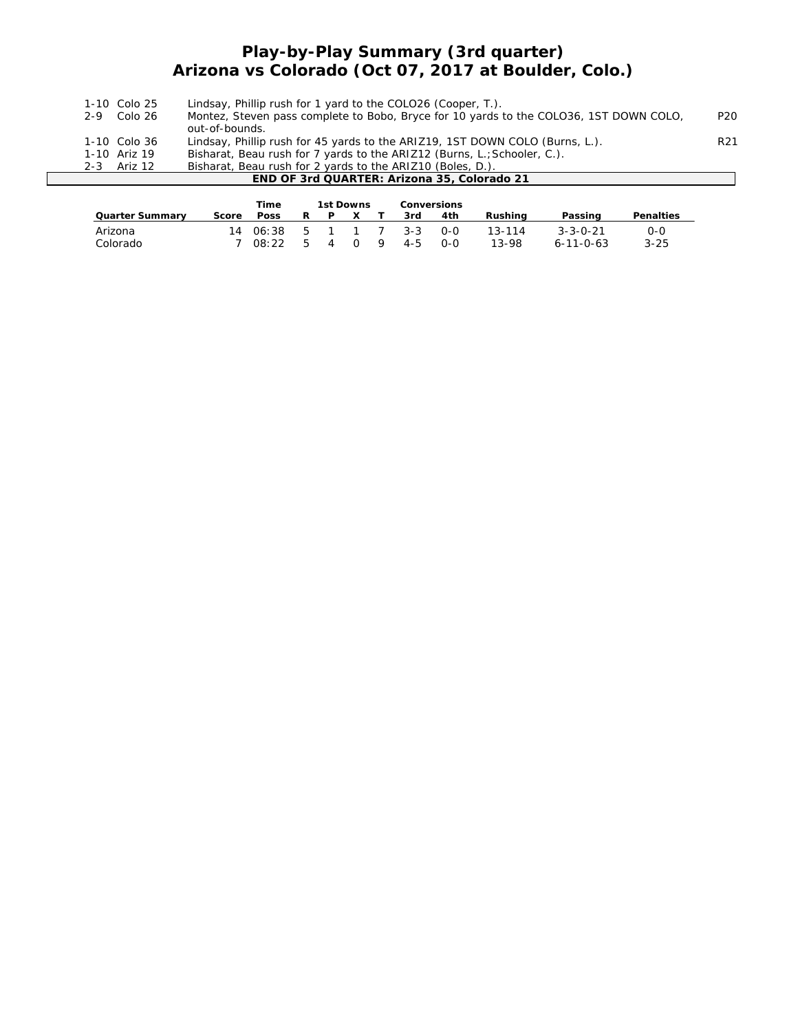## **Play-by-Play Summary (3rd quarter) Arizona vs Colorado (Oct 07, 2017 at Boulder, Colo.)**

| 1-10 Colo 25 | Lindsay, Phillip rush for 1 yard to the COLO26 (Cooper, T.).                           |                 |
|--------------|----------------------------------------------------------------------------------------|-----------------|
| 2-9 Colo 26  | Montez, Steven pass complete to Bobo, Bryce for 10 yards to the COLO36, 1ST DOWN COLO, | P <sub>20</sub> |
|              | out-of-bounds.                                                                         |                 |
| 1-10 Colo 36 | Lindsay, Phillip rush for 45 yards to the ARIZ19, 1ST DOWN COLO (Burns, L.).           | R <sub>21</sub> |
| 1-10 Ariz 19 | Bisharat, Beau rush for 7 yards to the ARIZ12 (Burns, L.; Schooler, C.).               |                 |
| 2-3 Ariz 12  | Bisharat, Beau rush for 2 yards to the ARIZ10 (Boles, D.).                             |                 |
|              | END OF 3rd QUARTER: Arizona 35, Colorado 21                                            |                 |
|              |                                                                                        |                 |

|                        |       | Time        |    | 1st Downs |     |   | <b>Conversions</b> |       |         |                   |                  |
|------------------------|-------|-------------|----|-----------|-----|---|--------------------|-------|---------|-------------------|------------------|
| <b>Quarter Summary</b> | Score | <b>Poss</b> | R  | P         | X   |   | 3rd                | 4th   | Rushina | Passing           | <b>Penalties</b> |
| Arizona                |       | 14.06:38    |    | 5 1 1 7   |     |   | $3 - 3$            | $O-O$ | 13-114  | $3 - 3 - 0 - 21$  | 0-0              |
| Colorado               |       | 08:22       | -5 | 4         | - 0 | 9 | $4 - 5$            | റ-റ   | 13-98   | $6 - 11 - 0 - 63$ | $3 - 25$         |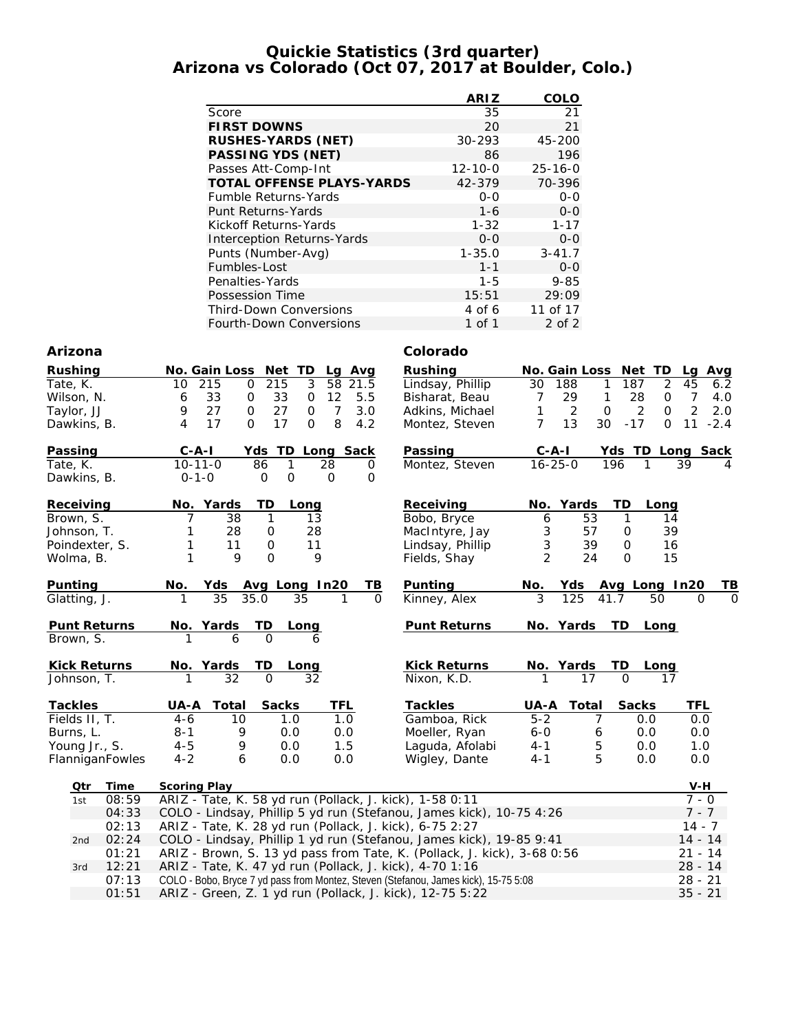#### **Quickie Statistics (3rd quarter) Arizona vs Colorado (Oct 07, 2017 at Boulder, Colo.)**

|                                   | <b>ARIZ</b>   | COLO          |
|-----------------------------------|---------------|---------------|
| Score                             | 35            | 21            |
| <b>FIRST DOWNS</b>                | 20            | 21            |
| <b>RUSHES-YARDS (NET)</b>         | 30-293        | 45-200        |
| <b>PASSING YDS (NET)</b>          | 86            | 196           |
| Passes Att-Comp-Int               | $12 - 10 - 0$ | $25 - 16 - 0$ |
| <b>TOTAL OFFENSE PLAYS-YARDS</b>  | 42-379        | 70-396        |
| <b>Fumble Returns-Yards</b>       | $0 - 0$       | $0 - 0$       |
| Punt Returns-Yards                | $1 - 6$       | $0 - 0$       |
| Kickoff Returns-Yards             | $1 - 32$      | $1 - 17$      |
| <b>Interception Returns-Yards</b> | $0 - 0$       | $0 - 0$       |
| Punts (Number-Avg)                | $1 - 35.0$    | $3 - 41.7$    |
| Fumbles-Lost                      | $1 - 1$       | $0 - 0$       |
| Penalties-Yards                   | $1 - 5$       | $9 - 85$      |
| Possession Time                   | 15:51         | 29:09         |
| Third-Down Conversions            | 4 of 6        | 11 of 17      |
| <b>Fourth-Down Conversions</b>    | 1 of 1        | 2 of 2        |

#### **Arizona Colorado**

| <b>Rushing</b>      | Net TD<br>No. Gain Loss<br>Lg Avg                          | <b>Rushing</b>      | <b>No. Gain Loss</b><br>Net TD<br>Avg<br>Lg                     |
|---------------------|------------------------------------------------------------|---------------------|-----------------------------------------------------------------|
| Tate, K.            | 3<br>215<br>215<br>58<br>$\mathbf 0$<br>21.5<br>10         | Lindsay, Phillip    | 187<br>2<br>45<br>30<br>188<br>6.2<br>1                         |
| Wilson, N.          | 33<br>12<br>0<br>33<br>5.5<br>0<br>6                       | Bisharat, Beau      | 28<br>29<br>7<br>7<br>1<br>0<br>4.0                             |
| Taylor, JJ          | 27<br>9<br>27<br>$\overline{7}$<br>3.0<br>$\mathbf 0$<br>0 | Adkins, Michael     | 2<br>2<br>2<br>1<br>$\mathbf 0$<br>$\Omega$<br>2.0              |
| Dawkins, B.         | 17<br>8<br>17<br>O<br>$\Omega$<br>4.2<br>4                 | Montez, Steven      | $\overline{7}$<br>13<br>30<br>11<br>$-17$<br>$-2.4$<br>$\Omega$ |
| Passing             | $C - A - I$<br>TD.<br>Yds<br>Long Sack                     | Passing             | Yds TD Long Sack<br>$C - A - I$                                 |
| Tate, K.            | $10 - 11 - 0$<br>86<br>1<br>28<br>0                        | Montez, Steven      | $16 - 25 - 0$<br>196<br>39<br>$\mathbf{1}$<br>4                 |
| Dawkins, B.         | $\mathbf 0$<br>O<br>0<br>$0 - 1 - 0$<br>$\mathbf 0$        |                     |                                                                 |
| Receiving           | No. Yards<br>TD<br>Long                                    | Receiving           | TD<br>No. Yards<br>Long                                         |
| Brown, S.           | 38<br>1<br>13                                              | Bobo, Bryce         | 53<br>1<br>6<br>14                                              |
| Johnson, T.         | 28<br>28<br>0                                              | MacIntyre, Jay      | 3<br>39<br>57<br>0                                              |
| Poindexter, S.      | 11<br>$\Omega$<br>11<br>1                                  | Lindsay, Phillip    | 3<br>39<br>$\mathbf 0$<br>16                                    |
| Wolma, B.           | $\Omega$<br>9<br>1<br>9                                    | Fields, Shay        | $\overline{2}$<br>24<br>$\Omega$<br>15                          |
| Punting             | No.<br>Yds<br>Avg Long In20<br>TВ                          | <b>Punting</b>      | No.<br><u>ТВ</u><br>Yds<br>Avg Long In20                        |
| Glatting, J.        | 35<br>$\Omega$<br>35.0<br>35                               | Kinney, Alex        | $\overline{0}$<br>3<br>125<br>41.7<br>50<br>$\Omega$            |
| <b>Punt Returns</b> | TD<br>No. Yards<br>Long                                    | <b>Punt Returns</b> | No. Yards<br><b>TD</b><br>Long                                  |
| Brown, S.           | $\Omega$<br>6<br>6                                         |                     |                                                                 |
| <b>Kick Returns</b> | TD<br>No. Yards<br><u>Long</u>                             | <b>Kick Returns</b> | No. Yards<br>TD<br>Long                                         |
| Johnson, T.         | 32<br>32<br>$\Omega$                                       | Nixon, K.D.         | $\Omega$<br>17<br>17                                            |
| <b>Tackles</b>      | UA-A<br>Total<br><b>Sacks</b><br>TFL                       | <b>Tackles</b>      | UA-A<br><b>Total</b><br><b>Sacks</b><br>TFL                     |
| Fields II, T.       | 1.0<br>1.0<br>$4 - 6$<br>10                                | Gamboa, Rick        | $5 - 2$<br>7<br>0.0<br>0.0                                      |
| Burns, L.           | 0.0<br>$8 - 1$<br>9<br>0.0                                 | Moeller, Ryan       | $6 - 0$<br>0.0<br>0.0<br>6                                      |
| Young Jr., S.       | 9<br>1.5<br>0.0<br>$4 - 5$                                 | Laguda, Afolabi     | 5<br>$4 - 1$<br>0.0<br>1.0                                      |
| FlanniganFowles     | 6<br>$4 - 2$<br>0.0<br>0.0                                 | Wigley, Dante       | 5<br>0.0<br>0.0<br>$4 - 1$                                      |
| Qtr<br>Time         | <b>Scoring Play</b>                                        |                     | $V-H$                                                           |

| Otr | <b>lime</b> | Scoring Play                                                                        | V-H       |
|-----|-------------|-------------------------------------------------------------------------------------|-----------|
| 1st | 08:59       | ARIZ - Tate, K. 58 yd run (Pollack, J. kick), 1-58 0:11                             | $7 - 0$   |
|     | 04:33       | COLO - Lindsay, Phillip 5 yd run (Stefanou, James kick), 10-75 4:26                 | 7 - 7     |
|     | 02:13       | ARIZ - Tate, K. 28 yd run (Pollack, J. kick), 6-75 2:27                             | $14 - 7$  |
|     | 2nd $02:24$ | COLO - Lindsay, Phillip 1 yd run (Stefanou, James kick), 19-85 9:41                 | $14 - 14$ |
|     | 01:21       | ARIZ - Brown, S. 13 yd pass from Tate, K. (Pollack, J. kick), 3-68 0:56             | $21 - 14$ |
| 3rd | 12:21       | ARIZ - Tate, K. 47 yd run (Pollack, J. kick), 4-70 1:16                             | $28 - 14$ |
|     | 07:13       | COLO - Bobo, Bryce 7 yd pass from Montez, Steven (Stefanou, James kick), 15-75 5:08 | $28 - 21$ |
|     | 01:51       | ARIZ - Green, Z. 1 yd run (Pollack, J. kick), 12-75 5:22                            | $35 - 21$ |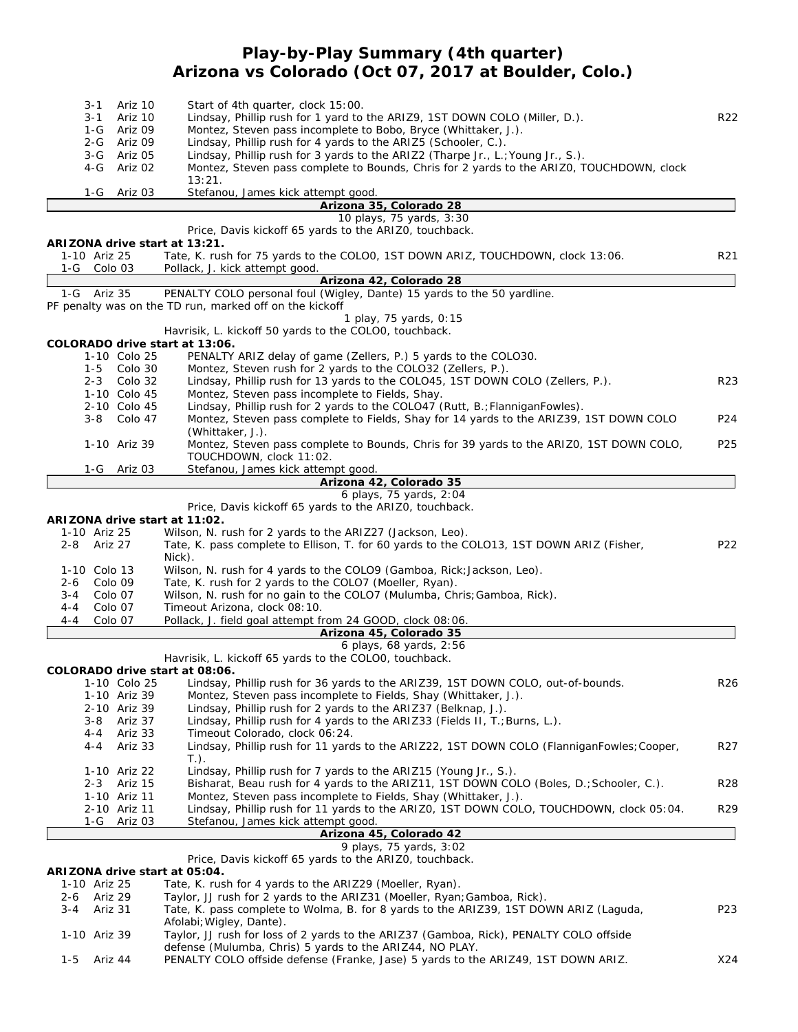## **Play-by-Play Summary (4th quarter) Arizona vs Colorado (Oct 07, 2017 at Boulder, Colo.)**

|              | $3 - 1$ | Ariz 10      | Start of 4th quarter, clock 15:00.                                                                                                                                |                 |
|--------------|---------|--------------|-------------------------------------------------------------------------------------------------------------------------------------------------------------------|-----------------|
|              | 3-1     | Ariz 10      | Lindsay, Phillip rush for 1 yard to the ARIZ9, 1ST DOWN COLO (Miller, D.).                                                                                        | R <sub>22</sub> |
|              | 1-G     | Ariz 09      | Montez, Steven pass incomplete to Bobo, Bryce (Whittaker, J.).                                                                                                    |                 |
|              | 2-G     | Ariz 09      | Lindsay, Phillip rush for 4 yards to the ARIZ5 (Schooler, C.).                                                                                                    |                 |
|              | $3-G$   | Ariz 05      | Lindsay, Phillip rush for 3 yards to the ARIZ2 (Tharpe Jr., L.; Young Jr., S.).                                                                                   |                 |
|              | 4-G     | Ariz 02      | Montez, Steven pass complete to Bounds, Chris for 2 yards to the ARIZO, TOUCHDOWN, clock                                                                          |                 |
|              |         |              | 13:21.                                                                                                                                                            |                 |
|              | 1-G     | Ariz 03      | Stefanou, James kick attempt good.                                                                                                                                |                 |
|              |         |              | Arizona 35, Colorado 28                                                                                                                                           |                 |
|              |         |              | 10 plays, 75 yards, 3:30                                                                                                                                          |                 |
|              |         |              | Price, Davis kickoff 65 yards to the ARIZO, touchback.                                                                                                            |                 |
|              |         |              | ARIZONA drive start at 13:21.                                                                                                                                     |                 |
| 1-10 Ariz 25 |         |              | Tate, K. rush for 75 yards to the COLOO, 1ST DOWN ARIZ, TOUCHDOWN, clock 13:06.                                                                                   | R <sub>21</sub> |
| 1-G          | Colo 03 |              | Pollack, J. kick attempt good.                                                                                                                                    |                 |
|              |         |              | Arizona 42, Colorado 28                                                                                                                                           |                 |
| 1-G Ariz 35  |         |              | PENALTY COLO personal foul (Wigley, Dante) 15 yards to the 50 yardline.                                                                                           |                 |
|              |         |              | PF penalty was on the TD run, marked off on the kickoff                                                                                                           |                 |
|              |         |              | 1 play, 75 yards, 0:15                                                                                                                                            |                 |
|              |         |              | Havrisik, L. kickoff 50 yards to the COLOO, touchback.                                                                                                            |                 |
|              |         |              | COLORADO drive start at 13:06.                                                                                                                                    |                 |
|              |         | 1-10 Colo 25 | PENALTY ARIZ delay of game (Zellers, P.) 5 yards to the COLO30.                                                                                                   |                 |
|              |         |              |                                                                                                                                                                   |                 |
|              | $1 - 5$ | Colo 30      | Montez, Steven rush for 2 yards to the COLO32 (Zellers, P.).                                                                                                      |                 |
|              | $2 - 3$ | Colo 32      | Lindsay, Phillip rush for 13 yards to the COLO45, 1ST DOWN COLO (Zellers, P.).                                                                                    | R <sub>23</sub> |
|              |         | 1-10 Colo 45 | Montez, Steven pass incomplete to Fields, Shay.                                                                                                                   |                 |
|              |         | 2-10 Colo 45 | Lindsay, Phillip rush for 2 yards to the COLO47 (Rutt, B.; FlanniganFowles).                                                                                      |                 |
|              |         | 3-8 Colo 47  | Montez, Steven pass complete to Fields, Shay for 14 yards to the ARIZ39, 1ST DOWN COLO                                                                            | P <sub>24</sub> |
|              |         |              | (Whittaker, J.).                                                                                                                                                  |                 |
|              |         | 1-10 Ariz 39 | Montez, Steven pass complete to Bounds, Chris for 39 yards to the ARIZO, 1ST DOWN COLO,                                                                           | P <sub>25</sub> |
|              |         |              | TOUCHDOWN, clock 11:02.                                                                                                                                           |                 |
|              |         | 1-G Ariz 03  | Stefanou, James kick attempt good.                                                                                                                                |                 |
|              |         |              | Arizona 42, Colorado 35                                                                                                                                           |                 |
|              |         |              | 6 plays, 75 yards, 2:04                                                                                                                                           |                 |
|              |         |              | Price, Davis kickoff 65 yards to the ARIZO, touchback.                                                                                                            |                 |
|              |         |              | ARIZONA drive start at 11:02.                                                                                                                                     |                 |
| 1-10 Ariz 25 |         |              | Wilson, N. rush for 2 yards to the ARIZ27 (Jackson, Leo).                                                                                                         |                 |
| 2-8          | Ariz 27 |              | Tate, K. pass complete to Ellison, T. for 60 yards to the COLO13, 1ST DOWN ARIZ (Fisher,                                                                          | P22             |
|              |         |              | Nick).                                                                                                                                                            |                 |
| 1-10 Colo 13 |         |              | Wilson, N. rush for 4 yards to the COLO9 (Gamboa, Rick; Jackson, Leo).                                                                                            |                 |
| 2-6          | Colo 09 |              | Tate, K. rush for 2 yards to the COLO7 (Moeller, Ryan).                                                                                                           |                 |
| 3-4          | Colo 07 |              | Wilson, N. rush for no gain to the COLO7 (Mulumba, Chris; Gamboa, Rick).                                                                                          |                 |
| $4 - 4$      | Colo 07 |              | Timeout Arizona, clock 08:10.                                                                                                                                     |                 |
| 4-4          | Colo 07 |              | Pollack, J. field goal attempt from 24 GOOD, clock 08:06.                                                                                                         |                 |
|              |         |              | Arizona 45, Colorado 35                                                                                                                                           |                 |
|              |         |              | 6 plays, 68 yards, 2:56                                                                                                                                           |                 |
|              |         |              | Havrisik, L. kickoff 65 yards to the COLO0, touchback.                                                                                                            |                 |
|              |         |              | COLORADO drive start at 08:06.                                                                                                                                    |                 |
|              |         | 1-10 Colo 25 | Lindsay, Phillip rush for 36 yards to the ARIZ39, 1ST DOWN COLO, out-of-bounds.                                                                                   | R26             |
|              |         | 1-10 Ariz 39 | Montez, Steven pass incomplete to Fields, Shay (Whittaker, J.).                                                                                                   |                 |
|              |         | 2-10 Ariz 39 | Lindsay, Phillip rush for 2 yards to the ARIZ37 (Belknap, J.).                                                                                                    |                 |
|              | 3-8     | Ariz 37      | Lindsay, Phillip rush for 4 yards to the ARIZ33 (Fields II, T.; Burns, L.).                                                                                       |                 |
|              | $4 - 4$ | Ariz 33      | Timeout Colorado, clock 06:24.                                                                                                                                    |                 |
|              | 4-4     | Ariz 33      | Lindsay, Phillip rush for 11 yards to the ARIZ22, 1ST DOWN COLO (FlanniganFowles; Cooper,                                                                         | R27             |
|              |         |              | $T.$ ).                                                                                                                                                           |                 |
|              |         | 1-10 Ariz 22 | Lindsay, Phillip rush for 7 yards to the ARIZ15 (Young Jr., S.).                                                                                                  |                 |
|              |         | 2-3 Ariz 15  | Bisharat, Beau rush for 4 yards to the ARIZ11, 1ST DOWN COLO (Boles, D.; Schooler, C.).                                                                           | <b>R28</b>      |
|              |         | 1-10 Ariz 11 | Montez, Steven pass incomplete to Fields, Shay (Whittaker, J.).                                                                                                   |                 |
|              |         | 2-10 Ariz 11 | Lindsay, Phillip rush for 11 yards to the ARIZO, 1ST DOWN COLO, TOUCHDOWN, clock 05:04.                                                                           | R29             |
|              | 1-G     | Ariz 03      | Stefanou, James kick attempt good.                                                                                                                                |                 |
|              |         |              | Arizona 45, Colorado 42                                                                                                                                           |                 |
|              |         |              | 9 plays, 75 yards, 3:02                                                                                                                                           |                 |
|              |         |              | Price, Davis kickoff 65 yards to the ARIZO, touchback.                                                                                                            |                 |
|              |         |              | ARIZONA drive start at 05:04.                                                                                                                                     |                 |
| 1-10 Ariz 25 |         |              | Tate, K. rush for 4 yards to the ARIZ29 (Moeller, Ryan).                                                                                                          |                 |
|              | Ariz 29 |              |                                                                                                                                                                   |                 |
| $2 - 6$      |         |              | Taylor, JJ rush for 2 yards to the ARIZ31 (Moeller, Ryan; Gamboa, Rick).<br>Tate, K. pass complete to Wolma, B. for 8 yards to the ARIZ39, 1ST DOWN ARIZ (Laguda, |                 |
| 3-4          | Ariz 31 |              |                                                                                                                                                                   | P <sub>23</sub> |
|              |         |              | Afolabi; Wigley, Dante).                                                                                                                                          |                 |
| 1-10 Ariz 39 |         |              | Taylor, JJ rush for loss of 2 yards to the ARIZ37 (Gamboa, Rick), PENALTY COLO offside                                                                            |                 |
|              |         |              | defense (Mulumba, Chris) 5 yards to the ARIZ44, NO PLAY.                                                                                                          |                 |
| $1 - 5$      | Ariz 44 |              | PENALTY COLO offside defense (Franke, Jase) 5 yards to the ARIZ49, 1ST DOWN ARIZ.                                                                                 | X24             |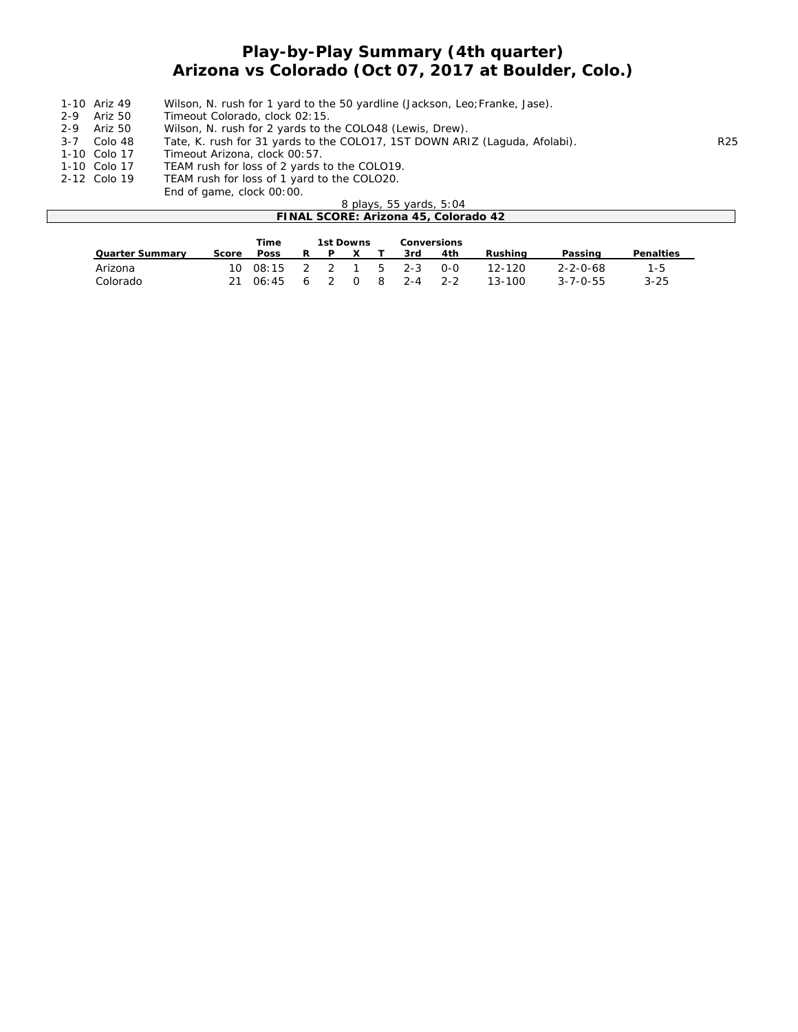# **Play-by-Play Summary (4th quarter) Arizona vs Colorado (Oct 07, 2017 at Boulder, Colo.)**

- 1-10 Ariz 49 Wilson, N. rush for 1 yard to the 50 yardline (Jackson, Leo; Franke, Jase).<br>2-9 Ariz 50 Timeout Colorado, clock 02:15.<br>2-9 Ariz 50 Wilson, N. rush for 2 yards to the COLO48 (Lewis, Drew).
- Timeout Colorado, clock 02:15.
- 2-9 Ariz 50 Wilson, N. rush for 2 yards to the COLO48 (Lewis, Drew).<br>3-7 Colo 48 Tate, K. rush for 31 yards to the COLO17, 1ST DOWN ARI
	- Tate, K. rush for 31 yards to the COLO17, 1ST DOWN ARIZ (Laguda, Afolabi). R25
- 1-10 Colo 17 Timeout Arizona, clock 00:57.<br>1-10 Colo 17 TEAM rush for loss of 2 yards t
- 
- 1-10 Colo 17 TEAM rush for loss of 2 yards to the COLO19.<br>2-12 Colo 19 TEAM rush for loss of 1 yard to the COLO20. TEAM rush for loss of 1 yard to the COLO20.
	- End of game, clock 00:00.

|                                      | 8 plays, 55 yards, 5:04 |             |   |                  |  |    |         |                    |         |                  |                  |  |
|--------------------------------------|-------------------------|-------------|---|------------------|--|----|---------|--------------------|---------|------------------|------------------|--|
| FINAL SCORE: Arizona 45, Colorado 42 |                         |             |   |                  |  |    |         |                    |         |                  |                  |  |
|                                      |                         |             |   |                  |  |    |         |                    |         |                  |                  |  |
|                                      |                         | Time        |   | <b>1st Downs</b> |  |    |         | <b>Conversions</b> |         |                  |                  |  |
| <b>Quarter Summary</b>               | Score                   | <b>Poss</b> | R | D.               |  |    | 3rd     | 4th                | Rushina | Passing          | <b>Penalties</b> |  |
| Arizona                              | 10                      | 08:15       |   |                  |  | -5 | $2 - 3$ | $0 - 0$            | 12-120  | $2 - 2 - 0 - 68$ | $1 - 5$          |  |

Colorado 21 06:45 6 2 0 8 2-4 2-2 13-100 3-7-0-55 3-25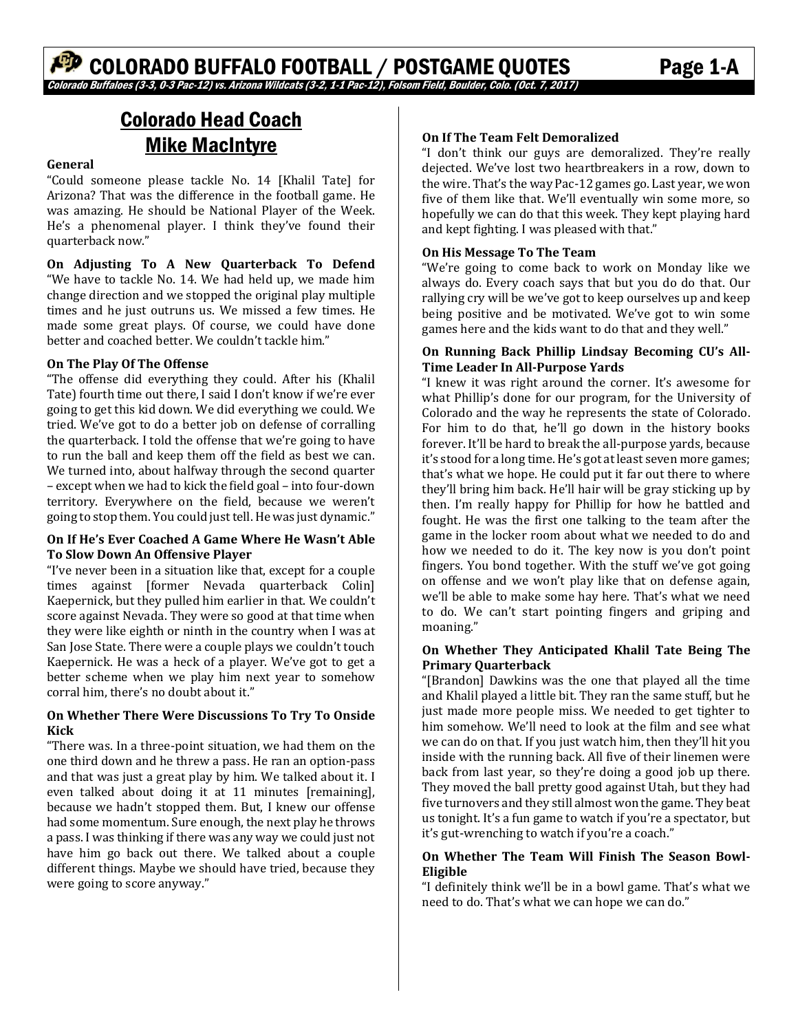# Colorado Head Coach Mike MacIntyre

#### **General**

"Could someone please tackle No. 14 [Khalil Tate] for Arizona? That was the difference in the football game. He was amazing. He should be National Player of the Week. He's a phenomenal player. I think they've found their quarterback now."

**On Adjusting To A New Quarterback To Defend** "We have to tackle No. 14. We had held up, we made him change direction and we stopped the original play multiple times and he just outruns us. We missed a few times. He made some great plays. Of course, we could have done better and coached better. We couldn't tackle him."

#### **On The Play Of The Offense**

"The offense did everything they could. After his (Khalil Tate) fourth time out there, I said I don't know if we're ever going to get this kid down. We did everything we could. We tried. We've got to do a better job on defense of corralling the quarterback. I told the offense that we're going to have to run the ball and keep them off the field as best we can. We turned into, about halfway through the second quarter – except when we had to kick the field goal – into four-down territory. Everywhere on the field, because we weren't going to stop them. You could just tell. He was just dynamic."

#### **On If He's Ever Coached A Game Where He Wasn't Able To Slow Down An Offensive Player**

"I've never been in a situation like that, except for a couple times against [former Nevada quarterback Colin] Kaepernick, but they pulled him earlier in that. We couldn't score against Nevada. They were so good at that time when they were like eighth or ninth in the country when I was at San Jose State. There were a couple plays we couldn't touch Kaepernick. He was a heck of a player. We've got to get a better scheme when we play him next year to somehow corral him, there's no doubt about it."

#### **On Whether There Were Discussions To Try To Onside Kick**

"There was. In a three-point situation, we had them on the one third down and he threw a pass. He ran an option-pass and that was just a great play by him. We talked about it. I even talked about doing it at 11 minutes [remaining], because we hadn't stopped them. But, I knew our offense had some momentum. Sure enough, the next play he throws a pass. I was thinking if there was any way we could just not have him go back out there. We talked about a couple different things. Maybe we should have tried, because they were going to score anyway."

#### **On If The Team Felt Demoralized**

"I don't think our guys are demoralized. They're really dejected. We've lost two heartbreakers in a row, down to the wire. That's the way Pac-12 games go. Last year, we won five of them like that. We'll eventually win some more, so hopefully we can do that this week. They kept playing hard and kept fighting. I was pleased with that."

#### **On His Message To The Team**

"We're going to come back to work on Monday like we always do. Every coach says that but you do do that. Our rallying cry will be we've got to keep ourselves up and keep being positive and be motivated. We've got to win some games here and the kids want to do that and they well."

#### **On Running Back Phillip Lindsay Becoming CU's All‐ Time Leader In All‐Purpose Yards**

"I knew it was right around the corner. It's awesome for what Phillip's done for our program, for the University of Colorado and the way he represents the state of Colorado. For him to do that, he'll go down in the history books forever. It'll be hard to break the all-purpose yards, because it's stood for a long time. He's got at least seven more games; that's what we hope. He could put it far out there to where they'll bring him back. He'll hair will be gray sticking up by then. I'm really happy for Phillip for how he battled and fought. He was the first one talking to the team after the game in the locker room about what we needed to do and how we needed to do it. The key now is you don't point fingers. You bond together. With the stuff we've got going on offense and we won't play like that on defense again, we'll be able to make some hay here. That's what we need to do. We can't start pointing fingers and griping and moaning."

#### **On Whether They Anticipated Khalil Tate Being The Primary Quarterback**

"[Brandon] Dawkins was the one that played all the time and Khalil played a little bit. They ran the same stuff, but he just made more people miss. We needed to get tighter to him somehow. We'll need to look at the film and see what we can do on that. If you just watch him, then they'll hit you inside with the running back. All five of their linemen were back from last year, so they're doing a good job up there. They moved the ball pretty good against Utah, but they had five turnovers and they still almost won the game. They beat us tonight. It's a fun game to watch if you're a spectator, but it's gut-wrenching to watch if you're a coach."

#### **On Whether The Team Will Finish The Season Bowl‐ Eligible**

"I definitely think we'll be in a bowl game. That's what we need to do. That's what we can hope we can do."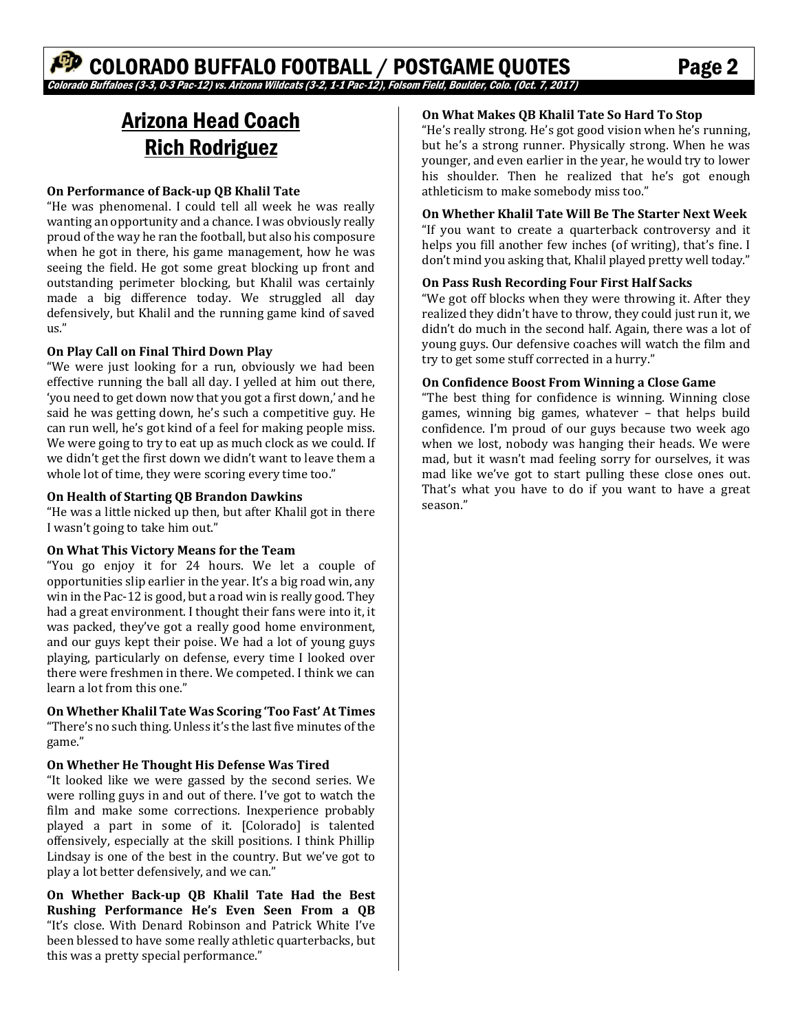# COLORADO BUFFALO FOOTBALL / POSTGAME QUOTES Page 2 orado Buffaloes (3-3, 0-3 Pac-12) vs. Arizona Wildcats (3-2, 1-1 Pac-12), Folsom Field, Boulder, Colo. (Oct. 7, 2017)

# Arizona Head Coach Rich Rodriguez

#### **On Performance of Back‐up QB Khalil Tate**

"He was phenomenal. I could tell all week he was really wanting an opportunity and a chance. I was obviously really proud of the way he ran the football, but also his composure when he got in there, his game management, how he was seeing the field. He got some great blocking up front and outstanding perimeter blocking, but Khalil was certainly made a big difference today. We struggled all day defensively, but Khalil and the running game kind of saved us." 

#### **On Play Call on Final Third Down Play**

"We were just looking for a run, obviously we had been effective running the ball all day. I yelled at him out there, 'you need to get down now that you got a first down,' and he said he was getting down, he's such a competitive guy. He can run well, he's got kind of a feel for making people miss. We were going to try to eat up as much clock as we could. If we didn't get the first down we didn't want to leave them a whole lot of time, they were scoring every time too."

#### **On Health of Starting QB Brandon Dawkins**

"He was a little nicked up then, but after Khalil got in there I wasn't going to take him out."

#### **On What This Victory Means for the Team**

"You go enjoy it for 24 hours. We let a couple of opportunities slip earlier in the year. It's a big road win, any win in the Pac-12 is good, but a road win is really good. They had a great environment. I thought their fans were into it, it was packed, they've got a really good home environment, and our guys kept their poise. We had a lot of young guys playing, particularly on defense, every time I looked over there were freshmen in there. We competed. I think we can learn a lot from this one."

**On Whether Khalil Tate Was Scoring 'Too Fast' At Times** "There's no such thing. Unless it's the last five minutes of the game." 

#### **On Whether He Thought His Defense Was Tired**

"It looked like we were gassed by the second series. We were rolling guys in and out of there. I've got to watch the film and make some corrections. Inexperience probably played a part in some of it. [Colorado] is talented offensively, especially at the skill positions. I think Phillip Lindsay is one of the best in the country. But we've got to play a lot better defensively, and we can."

**On Whether Back‐up QB Khalil Tate Had the Best Rushing Performance He's Even Seen From a QB** "It's close. With Denard Robinson and Patrick White I've been blessed to have some really athletic quarterbacks, but this was a pretty special performance."

#### **On What Makes QB Khalil Tate So Hard To Stop**

"He's really strong. He's got good vision when he's running, but he's a strong runner. Physically strong. When he was younger, and even earlier in the year, he would try to lower his shoulder. Then he realized that he's got enough athleticism to make somebody miss too."

#### **On Whether Khalil Tate Will Be The Starter Next Week**

"If you want to create a quarterback controversy and it helps you fill another few inches (of writing), that's fine. I don't mind you asking that, Khalil played pretty well today."

#### **On Pass Rush Recording Four First Half Sacks**

"We got off blocks when they were throwing it. After they realized they didn't have to throw, they could just run it, we didn't do much in the second half. Again, there was a lot of young guys. Our defensive coaches will watch the film and try to get some stuff corrected in a hurry."

#### **On Confidence Boost From Winning a Close Game**

"The best thing for confidence is winning. Winning close games, winning big games, whatever  $-$  that helps build confidence. I'm proud of our guys because two week ago when we lost, nobody was hanging their heads. We were mad, but it wasn't mad feeling sorry for ourselves, it was mad like we've got to start pulling these close ones out. That's what you have to do if you want to have a great season."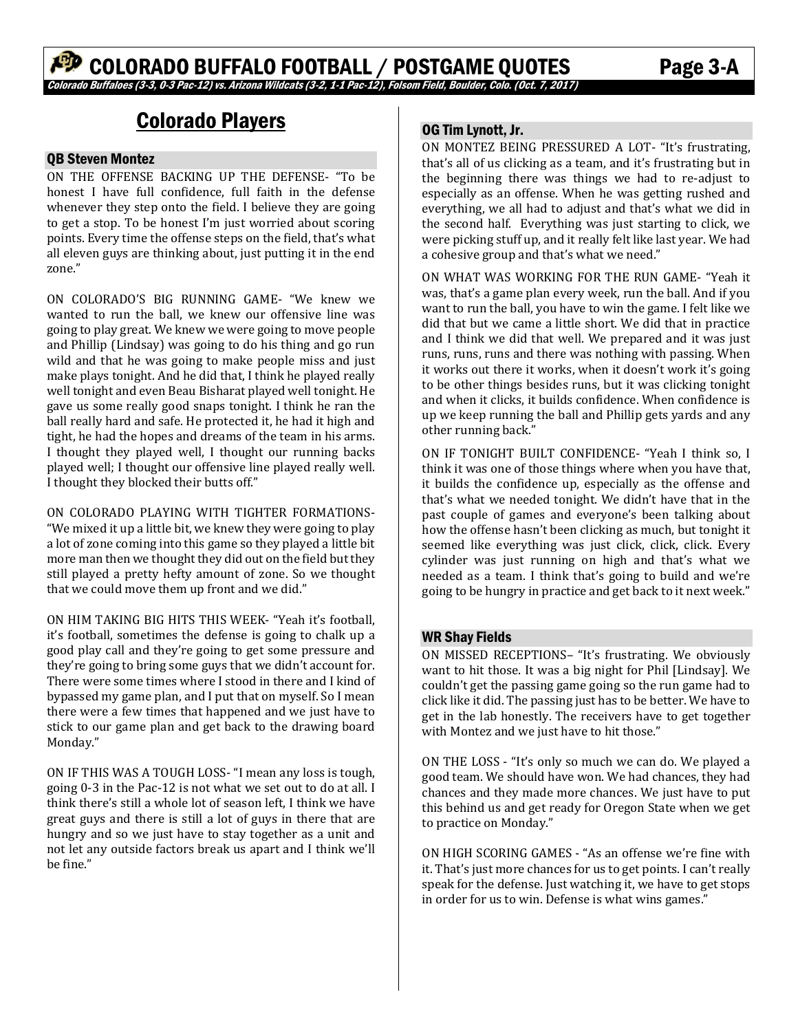# Colorado Players

#### QB Steven Montez

ON THE OFFENSE BACKING UP THE DEFENSE- "To be honest I have full confidence, full faith in the defense whenever they step onto the field. I believe they are going to get a stop. To be honest I'm just worried about scoring points. Every time the offense steps on the field, that's what all eleven guys are thinking about, just putting it in the end zone"

ON COLORADO'S BIG RUNNING GAME- "We knew we wanted to run the ball, we knew our offensive line was going to play great. We knew we were going to move people and Phillip (Lindsay) was going to do his thing and go run wild and that he was going to make people miss and just make plays tonight. And he did that, I think he played really well tonight and even Beau Bisharat played well tonight. He gave us some really good snaps tonight. I think he ran the ball really hard and safe. He protected it, he had it high and tight, he had the hopes and dreams of the team in his arms. I thought they played well, I thought our running backs played well; I thought our offensive line played really well. I thought they blocked their butts off."

ON COLORADO PLAYING WITH TIGHTER FORMATIONS-"We mixed it up a little bit, we knew they were going to play a lot of zone coming into this game so they played a little bit more man then we thought they did out on the field but they still played a pretty hefty amount of zone. So we thought that we could move them up front and we did."

ON HIM TAKING BIG HITS THIS WEEK- "Yeah it's football, it's football, sometimes the defense is going to chalk up a good play call and they're going to get some pressure and they're going to bring some guys that we didn't account for. There were some times where I stood in there and I kind of bypassed my game plan, and I put that on myself. So I mean there were a few times that happened and we just have to stick to our game plan and get back to the drawing board Monday." 

ON IF THIS WAS A TOUGH LOSS- "I mean any loss is tough, going 0-3 in the Pac-12 is not what we set out to do at all. I think there's still a whole lot of season left, I think we have great guys and there is still a lot of guys in there that are hungry and so we just have to stay together as a unit and not let any outside factors break us apart and I think we'll be fine." 

## OG Tim Lynott, Jr.

ON MONTEZ BEING PRESSURED A LOT- "It's frustrating, that's all of us clicking as a team, and it's frustrating but in the beginning there was things we had to re-adjust to especially as an offense. When he was getting rushed and everything, we all had to adjust and that's what we did in the second half. Everything was just starting to click, we were picking stuff up, and it really felt like last year. We had a cohesive group and that's what we need."

ON WHAT WAS WORKING FOR THE RUN GAME- "Yeah it was, that's a game plan every week, run the ball. And if you want to run the ball, you have to win the game. I felt like we did that but we came a little short. We did that in practice and I think we did that well. We prepared and it was just runs, runs, runs and there was nothing with passing. When it works out there it works, when it doesn't work it's going to be other things besides runs, but it was clicking tonight and when it clicks, it builds confidence. When confidence is up we keep running the ball and Phillip gets yards and any other running back."

ON IF TONIGHT BUILT CONFIDENCE- "Yeah I think so, I think it was one of those things where when you have that, it builds the confidence up, especially as the offense and that's what we needed tonight. We didn't have that in the past couple of games and everyone's been talking about how the offense hasn't been clicking as much, but tonight it seemed like everything was just click, click, click. Every cylinder was just running on high and that's what we needed as a team. I think that's going to build and we're going to be hungry in practice and get back to it next week."

#### WR Shay Fields

ON MISSED RECEPTIONS- "It's frustrating. We obviously want to hit those. It was a big night for Phil [Lindsay]. We couldn't get the passing game going so the run game had to click like it did. The passing just has to be better. We have to get in the lab honestly. The receivers have to get together with Montez and we just have to hit those."

ON THE LOSS - "It's only so much we can do. We played a good team. We should have won. We had chances, they had chances and they made more chances. We just have to put this behind us and get ready for Oregon State when we get to practice on Monday."

ON HIGH SCORING GAMES - "As an offense we're fine with it. That's just more chances for us to get points. I can't really speak for the defense. Just watching it, we have to get stops in order for us to win. Defense is what wins games."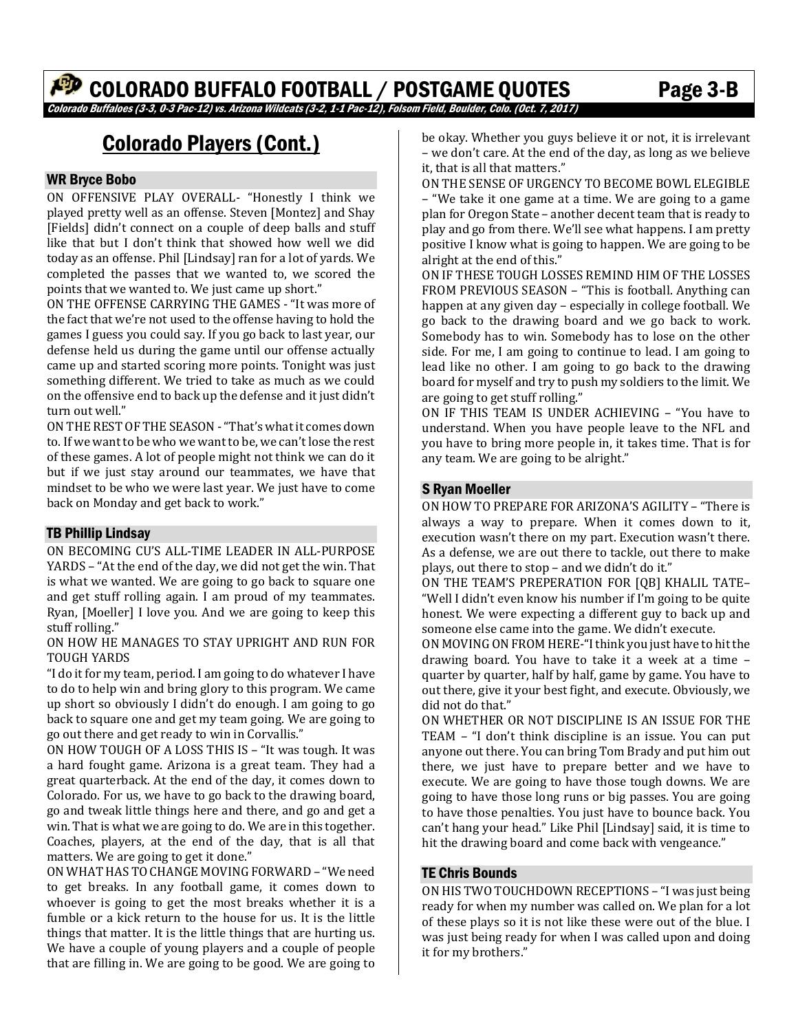# COLORADO BUFFALO FOOTBALL / POSTGAME QUOTES Page 3-B

Colorado Buffaloes (3-3, 0-3 Pac-12) vs. Arizona Wildcats (3-2, 1-1 Pac-12), Folsom Field, Boulder, Colo. (Oct. 7, 2017)

# Colorado Players (Cont.)

#### WR Bryce Bobo

ON OFFENSIVE PLAY OVERALL- "Honestly I think we played pretty well as an offense. Steven [Montez] and Shay [Fields] didn't connect on a couple of deep balls and stuff like that but I don't think that showed how well we did today as an offense. Phil [Lindsay] ran for a lot of yards. We completed the passes that we wanted to, we scored the points that we wanted to. We just came up short."

ON THE OFFENSE CARRYING THE GAMES - "It was more of the fact that we're not used to the offense having to hold the games I guess you could say. If you go back to last year, our defense held us during the game until our offense actually came up and started scoring more points. Tonight was just something different. We tried to take as much as we could on the offensive end to back up the defense and it just didn't turn out well."

ON THE REST OF THE SEASON - "That's what it comes down to. If we want to be who we want to be, we can't lose the rest of these games. A lot of people might not think we can do it but if we just stay around our teammates, we have that mindset to be who we were last year. We just have to come back on Monday and get back to work."

#### TB Phillip Lindsay

ON BECOMING CU'S ALL-TIME LEADER IN ALL-PURPOSE YARDS - "At the end of the day, we did not get the win. That is what we wanted. We are going to go back to square one and get stuff rolling again. I am proud of my teammates. Ryan, [Moeller] I love you. And we are going to keep this stuff rolling."

#### ON HOW HE MANAGES TO STAY UPRIGHT AND RUN FOR TOUGH YARDS

"I do it for my team, period. I am going to do whatever I have to do to help win and bring glory to this program. We came up short so obviously I didn't do enough. I am going to go back to square one and get my team going. We are going to go out there and get ready to win in Corvallis."

ON HOW TOUGH OF A LOSS THIS IS – "It was tough. It was a hard fought game. Arizona is a great team. They had a great quarterback. At the end of the day, it comes down to Colorado. For us, we have to go back to the drawing board, go and tweak little things here and there, and go and get a win. That is what we are going to do. We are in this together. Coaches, players, at the end of the day, that is all that matters. We are going to get it done."

ON WHAT HAS TO CHANGE MOVING FORWARD - "We need to get breaks. In any football game, it comes down to whoever is going to get the most breaks whether it is a fumble or a kick return to the house for us. It is the little things that matter. It is the little things that are hurting us. We have a couple of young players and a couple of people that are filling in. We are going to be good. We are going to

be okay. Whether you guys believe it or not, it is irrelevant – we don't care. At the end of the day, as long as we believe it, that is all that matters."

ON THE SENSE OF URGENCY TO BECOME BOWL ELEGIBLE – "We take it one game at a time. We are going to a game plan for Oregon State - another decent team that is ready to play and go from there. We'll see what happens. I am pretty positive I know what is going to happen. We are going to be alright at the end of this."

ON IF THESE TOUGH LOSSES REMIND HIM OF THE LOSSES FROM PREVIOUS SEASON - "This is football. Anything can happen at any given day - especially in college football. We go back to the drawing board and we go back to work. Somebody has to win. Somebody has to lose on the other side. For me, I am going to continue to lead. I am going to lead like no other. I am going to go back to the drawing board for myself and try to push my soldiers to the limit. We are going to get stuff rolling."

ON IF THIS TEAM IS UNDER ACHIEVING – "You have to understand. When you have people leave to the NFL and you have to bring more people in, it takes time. That is for any team. We are going to be alright."

#### S Ryan Moeller

ON HOW TO PREPARE FOR ARIZONA'S AGILITY - "There is always a way to prepare. When it comes down to it, execution wasn't there on my part. Execution wasn't there. As a defense, we are out there to tackle, out there to make plays, out there to stop – and we didn't do it."

ON THE TEAM'S PREPERATION FOR [QB] KHALIL TATE-"Well I didn't even know his number if I'm going to be quite honest. We were expecting a different guy to back up and someone else came into the game. We didn't execute.

ON MOVING ON FROM HERE-"I think you just have to hit the drawing board. You have to take it a week at a time  $$ quarter by quarter, half by half, game by game. You have to out there, give it your best fight, and execute. Obviously, we did not do that."

ON WHETHER OR NOT DISCIPLINE IS AN ISSUE FOR THE TEAM  $-$  "I don't think discipline is an issue. You can put anyone out there. You can bring Tom Brady and put him out there, we just have to prepare better and we have to execute. We are going to have those tough downs. We are going to have those long runs or big passes. You are going to have those penalties. You just have to bounce back. You can't hang your head." Like Phil [Lindsay] said, it is time to hit the drawing board and come back with vengeance."

#### TE Chris Bounds

ON HIS TWO TOUCHDOWN RECEPTIONS - "I was just being ready for when my number was called on. We plan for a lot of these plays so it is not like these were out of the blue. I was just being ready for when I was called upon and doing it for my brothers."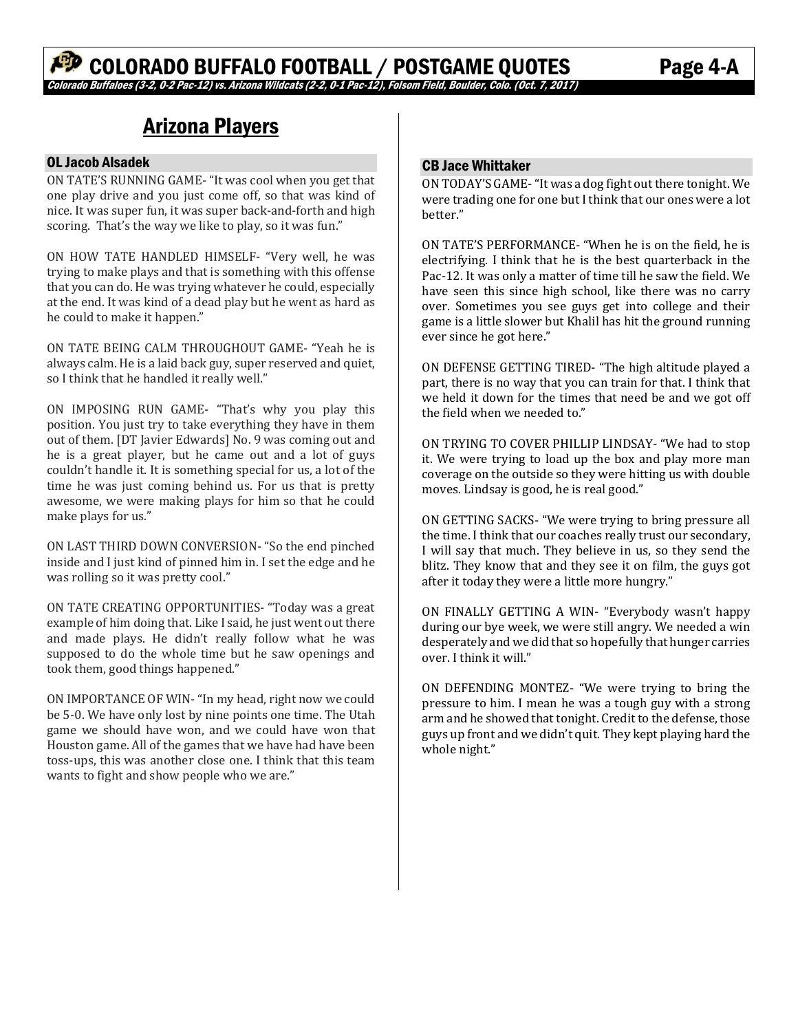# Arizona Players

#### OL Jacob Alsadek

ON TATE'S RUNNING GAME- "It was cool when you get that one play drive and you just come off, so that was kind of nice. It was super fun, it was super back-and-forth and high scoring. That's the way we like to play, so it was fun."

ON HOW TATE HANDLED HIMSELF- "Very well, he was trying to make plays and that is something with this offense that you can do. He was trying whatever he could, especially at the end. It was kind of a dead play but he went as hard as he could to make it happen."

ON TATE BEING CALM THROUGHOUT GAME- "Yeah he is always calm. He is a laid back guy, super reserved and quiet, so I think that he handled it really well."

ON IMPOSING RUN GAME- "That's why you play this position. You just try to take everything they have in them out of them. [DT Javier Edwards] No. 9 was coming out and he is a great player, but he came out and a lot of guys couldn't handle it. It is something special for us, a lot of the time he was just coming behind us. For us that is pretty awesome, we were making plays for him so that he could make plays for us."

ON LAST THIRD DOWN CONVERSION- "So the end pinched inside and I just kind of pinned him in. I set the edge and he was rolling so it was pretty cool."

ON TATE CREATING OPPORTUNITIES- "Today was a great example of him doing that. Like I said, he just went out there and made plays. He didn't really follow what he was supposed to do the whole time but he saw openings and took them, good things happened."

ON IMPORTANCE OF WIN- "In my head, right now we could be 5-0. We have only lost by nine points one time. The Utah game we should have won, and we could have won that Houston game. All of the games that we have had have been toss-ups, this was another close one. I think that this team wants to fight and show people who we are."

#### CB Jace Whittaker

ON TODAY'S GAME- "It was a dog fight out there tonight. We were trading one for one but I think that our ones were a lot better." 

ON TATE'S PERFORMANCE- "When he is on the field, he is electrifying. I think that he is the best quarterback in the Pac-12. It was only a matter of time till he saw the field. We have seen this since high school, like there was no carry over. Sometimes you see guys get into college and their game is a little slower but Khalil has hit the ground running ever since he got here."

ON DEFENSE GETTING TIRED- "The high altitude played a part, there is no way that you can train for that. I think that we held it down for the times that need be and we got off the field when we needed to."

ON TRYING TO COVER PHILLIP LINDSAY- "We had to stop it. We were trying to load up the box and play more man coverage on the outside so they were hitting us with double moves. Lindsay is good, he is real good."

ON GETTING SACKS- "We were trying to bring pressure all the time. I think that our coaches really trust our secondary, I will say that much. They believe in us, so they send the blitz. They know that and they see it on film, the guys got after it today they were a little more hungry."

ON FINALLY GETTING A WIN- "Everybody wasn't happy during our bye week, we were still angry. We needed a win desperately and we did that so hopefully that hunger carries over. I think it will."

ON DEFENDING MONTEZ- "We were trying to bring the pressure to him. I mean he was a tough guy with a strong arm and he showed that tonight. Credit to the defense, those guys up front and we didn't quit. They kept playing hard the whole night."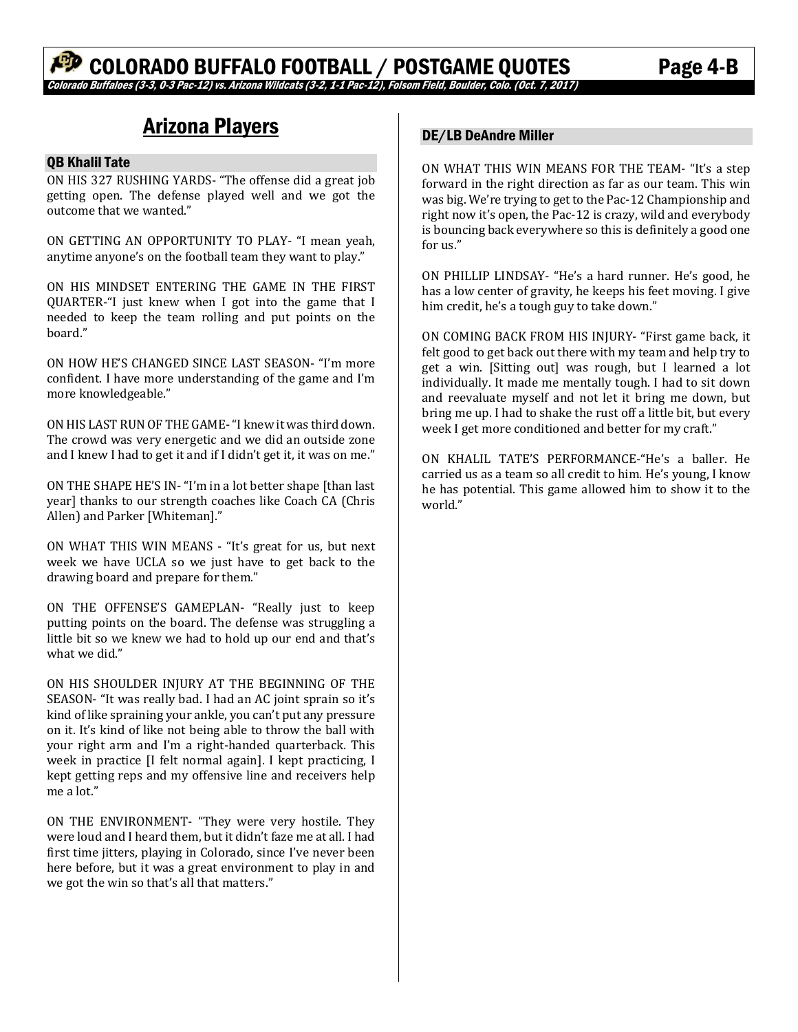# Arizona Players

#### QB Khalil Tate

ON HIS 327 RUSHING YARDS- "The offense did a great job getting open. The defense played well and we got the outcome that we wanted."

ON GETTING AN OPPORTUNITY TO PLAY- "I mean yeah, anytime anyone's on the football team they want to play."

ON HIS MINDSET ENTERING THE GAME IN THE FIRST QUARTER-"I just knew when I got into the game that I needed to keep the team rolling and put points on the board." 

ON HOW HE'S CHANGED SINCE LAST SEASON- "I'm more confident. I have more understanding of the game and I'm more knowledgeable."

ON HIS LAST RUN OF THE GAME- "I knew it was third down. The crowd was very energetic and we did an outside zone and I knew I had to get it and if I didn't get it, it was on me."

ON THE SHAPE HE'S IN- "I'm in a lot better shape [than last] year] thanks to our strength coaches like Coach CA (Chris Allen) and Parker [Whiteman]."

ON WHAT THIS WIN MEANS - "It's great for us, but next week we have UCLA so we just have to get back to the drawing board and prepare for them."

ON THE OFFENSE'S GAMEPLAN- "Really just to keep putting points on the board. The defense was struggling a little bit so we knew we had to hold up our end and that's what we did."

ON HIS SHOULDER INJURY AT THE BEGINNING OF THE SEASON- "It was really bad. I had an AC joint sprain so it's kind of like spraining your ankle, you can't put any pressure on it. It's kind of like not being able to throw the ball with your right arm and I'm a right-handed quarterback. This week in practice [I felt normal again]. I kept practicing, I kept getting reps and my offensive line and receivers help me a lot."

ON THE ENVIRONMENT- "They were very hostile. They were loud and I heard them, but it didn't faze me at all. I had first time jitters, playing in Colorado, since I've never been here before, but it was a great environment to play in and we got the win so that's all that matters."

## DE/LB DeAndre Miller

ON WHAT THIS WIN MEANS FOR THE TEAM- "It's a step forward in the right direction as far as our team. This win was big. We're trying to get to the Pac-12 Championship and right now it's open, the Pac-12 is crazy, wild and everybody is bouncing back everywhere so this is definitely a good one for us."

ON PHILLIP LINDSAY- "He's a hard runner. He's good, he has a low center of gravity, he keeps his feet moving. I give him credit, he's a tough guy to take down."

ON COMING BACK FROM HIS INJURY- "First game back, it felt good to get back out there with my team and help try to get a win. [Sitting out] was rough, but I learned a lot individually. It made me mentally tough. I had to sit down and reevaluate myself and not let it bring me down, but bring me up. I had to shake the rust off a little bit, but every week I get more conditioned and better for my craft."

ON KHALIL TATE'S PERFORMANCE-"He's a baller. He carried us as a team so all credit to him. He's young, I know he has potential. This game allowed him to show it to the world."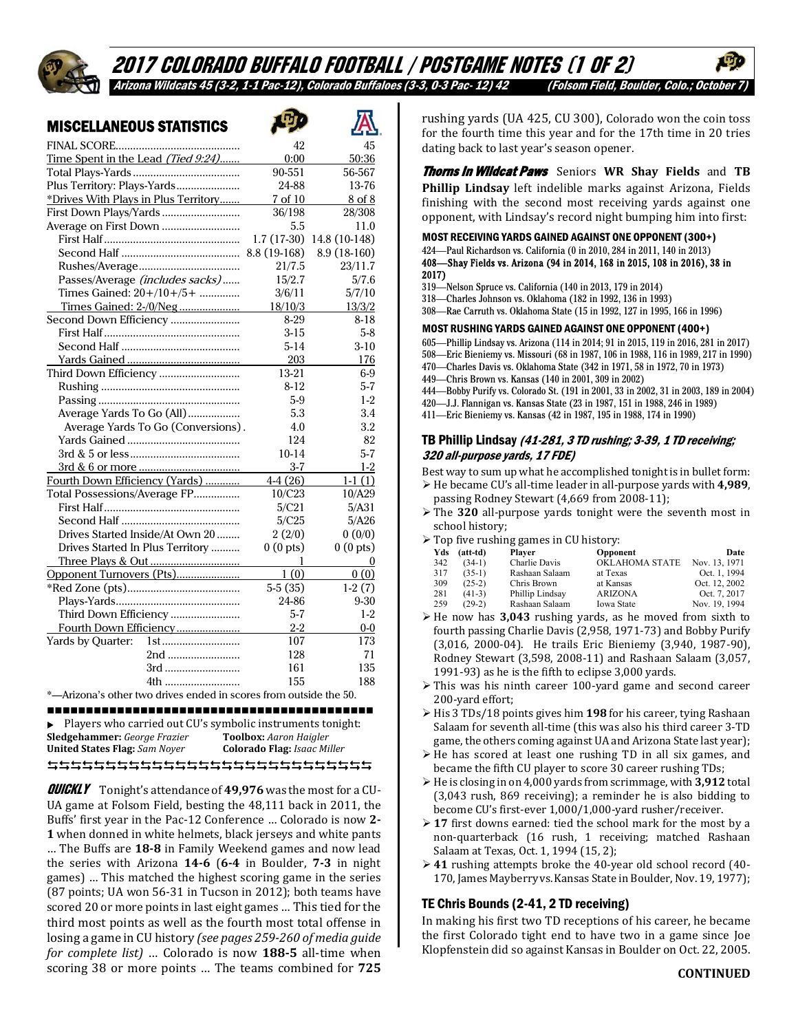# 2017 COLORADO BUFFALO FOOTBALL / POSTGAME NOTES (1 of 2) Arizona Wildcats 45 (3-2, 1-1 Pac-12), Colorado Buffaloes (3-3, 0-3 Pac- 12) 42 (Folsom Field, Boulder, Colo.; October 7)

困

## MISCELLANEOUS STATISTICS

|                                                                   |                      | க                    |
|-------------------------------------------------------------------|----------------------|----------------------|
|                                                                   | 42                   | 45                   |
| Time Spent in the Lead (Tied 9:24)                                | 0:00                 | 50:36                |
|                                                                   | 90-551               | 56-567               |
| Plus Territory: Plays-Yards                                       | 24-88                | 13-76                |
| *Drives With Plays in Plus Territory                              | 7 of 10              | 8 of 8               |
| First Down Plays/Yards                                            | 36/198               | 28/308               |
| Average on First Down                                             | 5.5                  | 11.0                 |
|                                                                   | $1.7(17-30)$         | 14.8 (10-148)        |
|                                                                   | 8.8 (19-168)         | 8.9 (18-160)         |
|                                                                   | 21/7.5               | 23/11.7              |
| Passes/Average (includes sacks)                                   | 15/2.7               | 5/7.6                |
| Times Gained: 20+/10+/5+                                          | 3/6/11               | 5/7/10               |
| Times Gained: 2-/0/Neg                                            | 18/10/3              | 13/3/2               |
| Second Down Efficiency                                            | 8-29                 | $8 - 18$             |
|                                                                   | $3 - 15$             | $5-8$                |
|                                                                   | $5-14$               | $3-10$               |
|                                                                   | 203                  | 176                  |
| Third Down Efficiency                                             | 13-21                | $6-9$                |
|                                                                   | $8 - 12$             | $5 - 7$              |
|                                                                   | $5-9$                | $1 - 2$              |
| Average Yards To Go (All)                                         | 5.3                  | 3.4                  |
| Average Yards To Go (Conversions).                                | 4.0                  | 3.2                  |
|                                                                   | 124                  | 82                   |
|                                                                   | $10-14$              | $5 - 7$              |
|                                                                   | $3 - 7$              | $1-2$                |
| Fourth Down Efficiency (Yards)                                    | $4-4(26)$            | $1-1(1)$             |
| Total Possessions/Average FP                                      | 10/C23               | 10/A29               |
|                                                                   | 5/C21                | 5/A31                |
|                                                                   | 5/C25                | 5/A26                |
| Drives Started Inside/At Own 20                                   | 2(2/0)               | 0(0/0)               |
| Drives Started In Plus Territory                                  | 0(0 <sub>pts</sub> ) | 0(0 <sub>pts</sub> ) |
|                                                                   | 1                    | 0                    |
| Opponent Turnovers (Pts)                                          | 1(0)                 | 0(0)                 |
|                                                                   | $5-5(35)$            | $1-2(7)$             |
|                                                                   | 24-86                | $9 - 30$             |
| Third Down Efficiency                                             | $5 - 7$              | $1 - 2$              |
| Fourth Down Efficiency                                            | $2 - 2$              | $0-0$                |
| Yards by Quarter:<br>1 <sub>st</sub>                              | 107                  | 173                  |
| 2nd                                                               | 128                  | 71                   |
| 3rd                                                               | 161                  | 135                  |
| 4th                                                               | 155                  | 188                  |
| *-Arizona's other two drives ended in scores from outside the 50. |                      |                      |
| .                                                                 | .                    |                      |

#### 

Players who carried out CU's symbolic instruments tonight:<br>Sledgehammer: George Frazier Toolbox: Aaron Haigler **Sledgehammer:** *George Frazier* **United States Flag:** *Sam Noyer* **Colorado Flag:** *Isaac Miller*

**QUICKLY** Tonight's attendance of 49,976 was the most for a CU-UA game at Folsom Field, besting the 48,111 back in 2011, the Buffs' first year in the Pac-12 Conference ... Colorado is now 2-**1** when donned in white helmets, black jerseys and white pants … The Buffs are **18-8** in Family Weekend games and now lead the series with Arizona **14-6** (6-4 in Boulder, 7-3 in night games) ... This matched the highest scoring game in the series (87 points; UA won 56-31 in Tucson in 2012); both teams have scored 20 or more points in last eight games ... This tied for the third most points as well as the fourth most total offense in losing a game in CU history (see pages 259-260 of media guide *for complete list)* … Colorado is now **188‐5** all‐time when scoring 38 or more points ... The teams combined for 725 rushing yards (UA 425, CU 300), Colorado won the coin toss for the fourth time this year and for the 17th time in 20 tries dating back to last year's season opener.

Thorns In Wildcat Paws Seniors **WR Shay Fields** and **TB Phillip Lindsay** left indelible marks against Arizona, Fields finishing with the second most receiving vards against one opponent, with Lindsay's record night bumping him into first:

MOST RECEIVING YARDS GAINED AGAINST ONE OPPONENT (300+)

#### 424—Paul Richardson vs. California (0 in 2010, 284 in 2011, 140 in 2013) 408—Shay Fields vs. Arizona (94 in 2014, 168 in 2015, 108 in 2016), 38 in 2017)

319—Nelson Spruce vs. California (140 in 2013, 179 in 2014)

- 318—Charles Johnson vs. Oklahoma (182 in 1992, 136 in 1993)
- 308—Rae Carruth vs. Oklahoma State (15 in 1992, 127 in 1995, 166 in 1996)

#### MOST RUSHING YARDS GAINED AGAINST ONE OPPONENT (400+)

- 605—Phillip Lindsay vs. Arizona (114 in 2014; 91 in 2015, 119 in 2016, 281 in 2017)
- 508—Eric Bieniemy vs. Missouri (68 in 1987, 106 in 1988, 116 in 1989, 217 in 1990)
- 470—Charles Davis vs. Oklahoma State (342 in 1971, 58 in 1972, 70 in 1973)
- 449—Chris Brown vs. Kansas (140 in 2001, 309 in 2002)
- 444—Bobby Purify vs. Colorado St. (191 in 2001, 33 in 2002, 31 in 2003, 189 in 2004)
- 420—J.J. Flannigan vs. Kansas State (23 in 1987, 151 in 1988, 246 in 1989) 411—Eric Bieniemy vs. Kansas (42 in 1987, 195 in 1988, 174 in 1990)

# TB Phillip Lindsay (41-281, 3 TD rushing; 3-39, 1 TD receiving;

320 all-purpose yards, 17 FDE) Best way to sum up what he accomplished tonight is in bullet form:

- ► He became CU's all-time leader in all-purpose vards with 4,989, passing Rodney Stewart (4,669 from 2008-11);
- **≻** The 320 all-purpose yards tonight were the seventh most in school history;
- $\triangleright$  Top five rushing games in CU history:

|     | $10p$ and $10p$ and $10p$ and $10p$ and $10p$ |                 |                       |               |  |  |  |  |
|-----|-----------------------------------------------|-----------------|-----------------------|---------------|--|--|--|--|
| Yds | (att-td)                                      | <b>Player</b>   | Opponent              | Date          |  |  |  |  |
| 342 | $(34-1)$                                      | Charlie Davis   | <b>OKLAHOMA STATE</b> | Nov. 13, 1971 |  |  |  |  |
| 317 | $(35-1)$                                      | Rashaan Salaam  | at Texas              | Oct. 1, 1994  |  |  |  |  |
| 309 | $(25-2)$                                      | Chris Brown     | at Kansas             | Oct. 12, 2002 |  |  |  |  |
| 281 | $(41-3)$                                      | Phillip Lindsay | <b>ARIZONA</b>        | Oct. 7, 2017  |  |  |  |  |
| 259 | $(29-2)$                                      | Rashaan Salaam  | Iowa State            | Nov. 19, 1994 |  |  |  |  |
|     |                                               |                 |                       |               |  |  |  |  |

- $\triangleright$  He now has 3,043 rushing yards, as he moved from sixth to fourth passing Charlie Davis (2,958, 1971-73) and Bobby Purify (3,016, 2000-04). He trails Eric Bieniemy (3,940, 1987-90), Rodney Stewart (3,598, 2008-11) and Rashaan Salaam (3,057, 1991-93) as he is the fifth to eclipse 3,000 yards.
- $\triangleright$  This was his ninth career 100-yard game and second career 200-yard effort;
- > His 3 TDs/18 points gives him 198 for his career, tying Rashaan Salaam for seventh all-time (this was also his third career 3-TD game, the others coming against UA and Arizona State last year);
- $\triangleright$  He has scored at least one rushing TD in all six games, and became the fifth CU player to score 30 career rushing TDs;
- $\triangleright$  He is closing in on 4,000 yards from scrimmage, with 3,912 total (3,043 rush, 869 receiving); a reminder he is also bidding to become CU's first-ever 1,000/1,000-yard rusher/receiver.
- $\geq$  17 first downs earned: tied the school mark for the most by a non-quarterback (16 rush, 1 receiving; matched Rashaan Salaam at Texas, Oct. 1, 1994 (15, 2);
- **→ 41** rushing attempts broke the 40-year old school record (40– 170, James Mayberry vs. Kansas State in Boulder, Nov. 19, 1977);

# TE Chris Bounds (2-41, 2 TD receiving)

In making his first two TD receptions of his career, he became the first Colorado tight end to have two in a game since Joe Klopfenstein did so against Kansas in Boulder on Oct. 22, 2005.